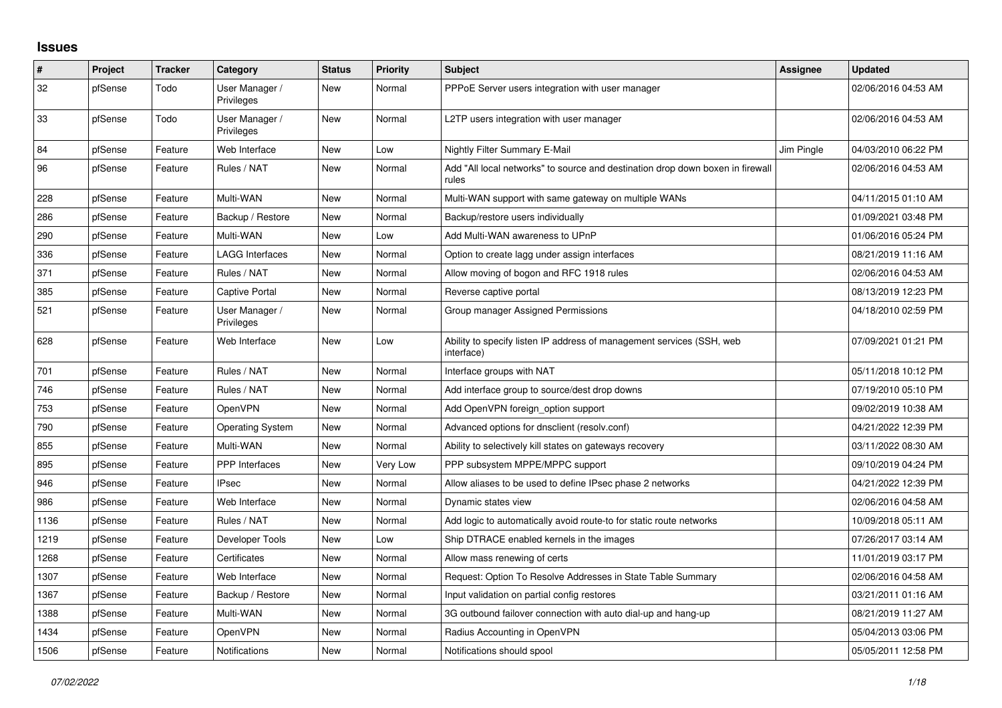## **Issues**

| $\pmb{\#}$ | Project | <b>Tracker</b> | Category                     | <b>Status</b> | Priority | <b>Subject</b>                                                                          | Assignee   | <b>Updated</b>      |
|------------|---------|----------------|------------------------------|---------------|----------|-----------------------------------------------------------------------------------------|------------|---------------------|
| 32         | pfSense | Todo           | User Manager /<br>Privileges | <b>New</b>    | Normal   | PPPoE Server users integration with user manager                                        |            | 02/06/2016 04:53 AM |
| 33         | pfSense | Todo           | User Manager /<br>Privileges | New           | Normal   | L2TP users integration with user manager                                                |            | 02/06/2016 04:53 AM |
| 84         | pfSense | Feature        | Web Interface                | <b>New</b>    | Low      | Nightly Filter Summary E-Mail                                                           | Jim Pingle | 04/03/2010 06:22 PM |
| 96         | pfSense | Feature        | Rules / NAT                  | New           | Normal   | Add "All local networks" to source and destination drop down boxen in firewall<br>rules |            | 02/06/2016 04:53 AM |
| 228        | pfSense | Feature        | Multi-WAN                    | <b>New</b>    | Normal   | Multi-WAN support with same gateway on multiple WANs                                    |            | 04/11/2015 01:10 AM |
| 286        | pfSense | Feature        | Backup / Restore             | New           | Normal   | Backup/restore users individually                                                       |            | 01/09/2021 03:48 PM |
| 290        | pfSense | Feature        | Multi-WAN                    | <b>New</b>    | Low      | Add Multi-WAN awareness to UPnP                                                         |            | 01/06/2016 05:24 PM |
| 336        | pfSense | Feature        | <b>LAGG Interfaces</b>       | New           | Normal   | Option to create lagg under assign interfaces                                           |            | 08/21/2019 11:16 AM |
| 371        | pfSense | Feature        | Rules / NAT                  | <b>New</b>    | Normal   | Allow moving of bogon and RFC 1918 rules                                                |            | 02/06/2016 04:53 AM |
| 385        | pfSense | Feature        | <b>Captive Portal</b>        | New           | Normal   | Reverse captive portal                                                                  |            | 08/13/2019 12:23 PM |
| 521        | pfSense | Feature        | User Manager /<br>Privileges | New           | Normal   | Group manager Assigned Permissions                                                      |            | 04/18/2010 02:59 PM |
| 628        | pfSense | Feature        | Web Interface                | New           | Low      | Ability to specify listen IP address of management services (SSH, web<br>interface)     |            | 07/09/2021 01:21 PM |
| 701        | pfSense | Feature        | Rules / NAT                  | <b>New</b>    | Normal   | Interface groups with NAT                                                               |            | 05/11/2018 10:12 PM |
| 746        | pfSense | Feature        | Rules / NAT                  | New           | Normal   | Add interface group to source/dest drop downs                                           |            | 07/19/2010 05:10 PM |
| 753        | pfSense | Feature        | OpenVPN                      | <b>New</b>    | Normal   | Add OpenVPN foreign option support                                                      |            | 09/02/2019 10:38 AM |
| 790        | pfSense | Feature        | <b>Operating System</b>      | New           | Normal   | Advanced options for dnsclient (resolv.conf)                                            |            | 04/21/2022 12:39 PM |
| 855        | pfSense | Feature        | Multi-WAN                    | New           | Normal   | Ability to selectively kill states on gateways recovery                                 |            | 03/11/2022 08:30 AM |
| 895        | pfSense | Feature        | <b>PPP</b> Interfaces        | <b>New</b>    | Very Low | PPP subsystem MPPE/MPPC support                                                         |            | 09/10/2019 04:24 PM |
| 946        | pfSense | Feature        | <b>IPsec</b>                 | <b>New</b>    | Normal   | Allow aliases to be used to define IPsec phase 2 networks                               |            | 04/21/2022 12:39 PM |
| 986        | pfSense | Feature        | Web Interface                | New           | Normal   | Dynamic states view                                                                     |            | 02/06/2016 04:58 AM |
| 1136       | pfSense | Feature        | Rules / NAT                  | <b>New</b>    | Normal   | Add logic to automatically avoid route-to for static route networks                     |            | 10/09/2018 05:11 AM |
| 1219       | pfSense | Feature        | Developer Tools              | <b>New</b>    | Low      | Ship DTRACE enabled kernels in the images                                               |            | 07/26/2017 03:14 AM |
| 1268       | pfSense | Feature        | Certificates                 | New           | Normal   | Allow mass renewing of certs                                                            |            | 11/01/2019 03:17 PM |
| 1307       | pfSense | Feature        | Web Interface                | <b>New</b>    | Normal   | Request: Option To Resolve Addresses in State Table Summary                             |            | 02/06/2016 04:58 AM |
| 1367       | pfSense | Feature        | Backup / Restore             | New           | Normal   | Input validation on partial config restores                                             |            | 03/21/2011 01:16 AM |
| 1388       | pfSense | Feature        | Multi-WAN                    | New           | Normal   | 3G outbound failover connection with auto dial-up and hang-up                           |            | 08/21/2019 11:27 AM |
| 1434       | pfSense | Feature        | OpenVPN                      | <b>New</b>    | Normal   | Radius Accounting in OpenVPN                                                            |            | 05/04/2013 03:06 PM |
| 1506       | pfSense | Feature        | <b>Notifications</b>         | <b>New</b>    | Normal   | Notifications should spool                                                              |            | 05/05/2011 12:58 PM |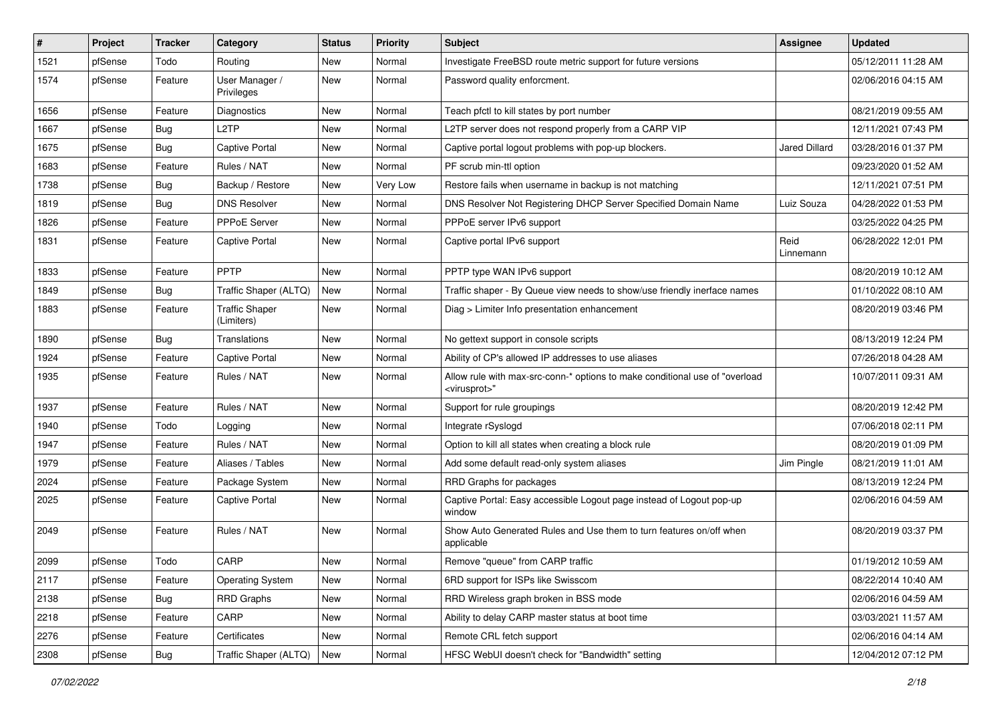| $\vert$ # | Project | <b>Tracker</b> | Category                            | <b>Status</b> | <b>Priority</b> | <b>Subject</b>                                                                                          | <b>Assignee</b>   | <b>Updated</b>      |
|-----------|---------|----------------|-------------------------------------|---------------|-----------------|---------------------------------------------------------------------------------------------------------|-------------------|---------------------|
| 1521      | pfSense | Todo           | Routing                             | <b>New</b>    | Normal          | Investigate FreeBSD route metric support for future versions                                            |                   | 05/12/2011 11:28 AM |
| 1574      | pfSense | Feature        | User Manager /<br>Privileges        | <b>New</b>    | Normal          | Password quality enforcment.                                                                            |                   | 02/06/2016 04:15 AM |
| 1656      | pfSense | Feature        | Diagnostics                         | <b>New</b>    | Normal          | Teach pfctl to kill states by port number                                                               |                   | 08/21/2019 09:55 AM |
| 1667      | pfSense | <b>Bug</b>     | L <sub>2</sub> TP                   | <b>New</b>    | Normal          | L2TP server does not respond properly from a CARP VIP                                                   |                   | 12/11/2021 07:43 PM |
| 1675      | pfSense | <b>Bug</b>     | <b>Captive Portal</b>               | New           | Normal          | Captive portal logout problems with pop-up blockers.                                                    | Jared Dillard     | 03/28/2016 01:37 PM |
| 1683      | pfSense | Feature        | Rules / NAT                         | New           | Normal          | PF scrub min-ttl option                                                                                 |                   | 09/23/2020 01:52 AM |
| 1738      | pfSense | <b>Bug</b>     | Backup / Restore                    | <b>New</b>    | Very Low        | Restore fails when username in backup is not matching                                                   |                   | 12/11/2021 07:51 PM |
| 1819      | pfSense | <b>Bug</b>     | <b>DNS Resolver</b>                 | <b>New</b>    | Normal          | DNS Resolver Not Registering DHCP Server Specified Domain Name                                          | Luiz Souza        | 04/28/2022 01:53 PM |
| 1826      | pfSense | Feature        | PPPoE Server                        | <b>New</b>    | Normal          | PPPoE server IPv6 support                                                                               |                   | 03/25/2022 04:25 PM |
| 1831      | pfSense | Feature        | Captive Portal                      | New           | Normal          | Captive portal IPv6 support                                                                             | Reid<br>Linnemann | 06/28/2022 12:01 PM |
| 1833      | pfSense | Feature        | PPTP                                | New           | Normal          | PPTP type WAN IPv6 support                                                                              |                   | 08/20/2019 10:12 AM |
| 1849      | pfSense | Bug            | Traffic Shaper (ALTQ)               | <b>New</b>    | Normal          | Traffic shaper - By Queue view needs to show/use friendly inerface names                                |                   | 01/10/2022 08:10 AM |
| 1883      | pfSense | Feature        | <b>Traffic Shaper</b><br>(Limiters) | <b>New</b>    | Normal          | Diag > Limiter Info presentation enhancement                                                            |                   | 08/20/2019 03:46 PM |
| 1890      | pfSense | Bug            | Translations                        | <b>New</b>    | Normal          | No gettext support in console scripts                                                                   |                   | 08/13/2019 12:24 PM |
| 1924      | pfSense | Feature        | <b>Captive Portal</b>               | <b>New</b>    | Normal          | Ability of CP's allowed IP addresses to use aliases                                                     |                   | 07/26/2018 04:28 AM |
| 1935      | pfSense | Feature        | Rules / NAT                         | New           | Normal          | Allow rule with max-src-conn-* options to make conditional use of "overload<br><virusprot>"</virusprot> |                   | 10/07/2011 09:31 AM |
| 1937      | pfSense | Feature        | Rules / NAT                         | New           | Normal          | Support for rule groupings                                                                              |                   | 08/20/2019 12:42 PM |
| 1940      | pfSense | Todo           | Logging                             | New           | Normal          | Integrate rSyslogd                                                                                      |                   | 07/06/2018 02:11 PM |
| 1947      | pfSense | Feature        | Rules / NAT                         | <b>New</b>    | Normal          | Option to kill all states when creating a block rule                                                    |                   | 08/20/2019 01:09 PM |
| 1979      | pfSense | Feature        | Aliases / Tables                    | New           | Normal          | Add some default read-only system aliases                                                               | Jim Pingle        | 08/21/2019 11:01 AM |
| 2024      | pfSense | Feature        | Package System                      | <b>New</b>    | Normal          | RRD Graphs for packages                                                                                 |                   | 08/13/2019 12:24 PM |
| 2025      | pfSense | Feature        | Captive Portal                      | <b>New</b>    | Normal          | Captive Portal: Easy accessible Logout page instead of Logout pop-up<br>window                          |                   | 02/06/2016 04:59 AM |
| 2049      | pfSense | Feature        | Rules / NAT                         | New           | Normal          | Show Auto Generated Rules and Use them to turn features on/off when<br>applicable                       |                   | 08/20/2019 03:37 PM |
| 2099      | pfSense | Todo           | CARP                                | New           | Normal          | Remove "queue" from CARP traffic                                                                        |                   | 01/19/2012 10:59 AM |
| 2117      | pfSense | Feature        | <b>Operating System</b>             | New           | Normal          | 6RD support for ISPs like Swisscom                                                                      |                   | 08/22/2014 10:40 AM |
| 2138      | pfSense | Bug            | <b>RRD Graphs</b>                   | New           | Normal          | RRD Wireless graph broken in BSS mode                                                                   |                   | 02/06/2016 04:59 AM |
| 2218      | pfSense | Feature        | CARP                                | New           | Normal          | Ability to delay CARP master status at boot time                                                        |                   | 03/03/2021 11:57 AM |
| 2276      | pfSense | Feature        | Certificates                        | New           | Normal          | Remote CRL fetch support                                                                                |                   | 02/06/2016 04:14 AM |
| 2308      | pfSense | Bug            | Traffic Shaper (ALTQ)               | New           | Normal          | HFSC WebUI doesn't check for "Bandwidth" setting                                                        |                   | 12/04/2012 07:12 PM |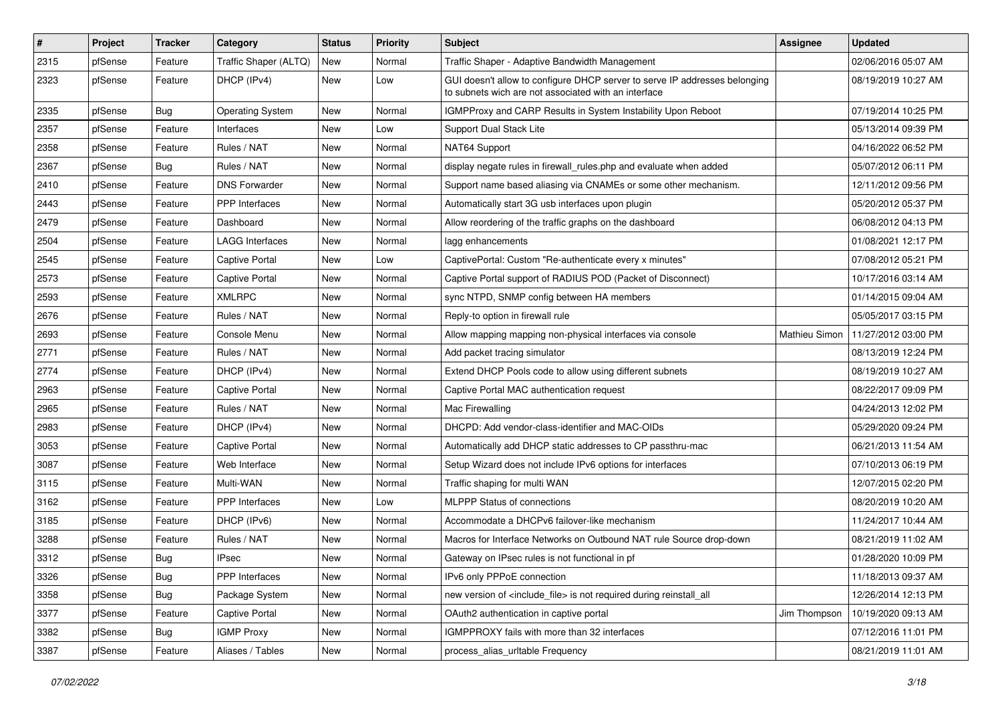| $\sharp$ | Project | <b>Tracker</b> | Category                | <b>Status</b> | <b>Priority</b> | <b>Subject</b>                                                                                                                     | Assignee      | <b>Updated</b>      |
|----------|---------|----------------|-------------------------|---------------|-----------------|------------------------------------------------------------------------------------------------------------------------------------|---------------|---------------------|
| 2315     | pfSense | Feature        | Traffic Shaper (ALTQ)   | New           | Normal          | Traffic Shaper - Adaptive Bandwidth Management                                                                                     |               | 02/06/2016 05:07 AM |
| 2323     | pfSense | Feature        | DHCP (IPv4)             | New           | Low             | GUI doesn't allow to configure DHCP server to serve IP addresses belonging<br>to subnets wich are not associated with an interface |               | 08/19/2019 10:27 AM |
| 2335     | pfSense | Bug            | <b>Operating System</b> | New           | Normal          | IGMPProxy and CARP Results in System Instability Upon Reboot                                                                       |               | 07/19/2014 10:25 PM |
| 2357     | pfSense | Feature        | Interfaces              | <b>New</b>    | Low             | Support Dual Stack Lite                                                                                                            |               | 05/13/2014 09:39 PM |
| 2358     | pfSense | Feature        | Rules / NAT             | New           | Normal          | NAT64 Support                                                                                                                      |               | 04/16/2022 06:52 PM |
| 2367     | pfSense | Bug            | Rules / NAT             | New           | Normal          | display negate rules in firewall_rules.php and evaluate when added                                                                 |               | 05/07/2012 06:11 PM |
| 2410     | pfSense | Feature        | <b>DNS Forwarder</b>    | New           | Normal          | Support name based aliasing via CNAMEs or some other mechanism.                                                                    |               | 12/11/2012 09:56 PM |
| 2443     | pfSense | Feature        | <b>PPP</b> Interfaces   | New           | Normal          | Automatically start 3G usb interfaces upon plugin                                                                                  |               | 05/20/2012 05:37 PM |
| 2479     | pfSense | Feature        | Dashboard               | New           | Normal          | Allow reordering of the traffic graphs on the dashboard                                                                            |               | 06/08/2012 04:13 PM |
| 2504     | pfSense | Feature        | <b>LAGG Interfaces</b>  | New           | Normal          | lagg enhancements                                                                                                                  |               | 01/08/2021 12:17 PM |
| 2545     | pfSense | Feature        | <b>Captive Portal</b>   | New           | Low             | CaptivePortal: Custom "Re-authenticate every x minutes"                                                                            |               | 07/08/2012 05:21 PM |
| 2573     | pfSense | Feature        | <b>Captive Portal</b>   | New           | Normal          | Captive Portal support of RADIUS POD (Packet of Disconnect)                                                                        |               | 10/17/2016 03:14 AM |
| 2593     | pfSense | Feature        | <b>XMLRPC</b>           | New           | Normal          | sync NTPD, SNMP config between HA members                                                                                          |               | 01/14/2015 09:04 AM |
| 2676     | pfSense | Feature        | Rules / NAT             | New           | Normal          | Reply-to option in firewall rule                                                                                                   |               | 05/05/2017 03:15 PM |
| 2693     | pfSense | Feature        | Console Menu            | New           | Normal          | Allow mapping mapping non-physical interfaces via console                                                                          | Mathieu Simon | 11/27/2012 03:00 PM |
| 2771     | pfSense | Feature        | Rules / NAT             | New           | Normal          | Add packet tracing simulator                                                                                                       |               | 08/13/2019 12:24 PM |
| 2774     | pfSense | Feature        | DHCP (IPv4)             | <b>New</b>    | Normal          | Extend DHCP Pools code to allow using different subnets                                                                            |               | 08/19/2019 10:27 AM |
| 2963     | pfSense | Feature        | Captive Portal          | New           | Normal          | Captive Portal MAC authentication request                                                                                          |               | 08/22/2017 09:09 PM |
| 2965     | pfSense | Feature        | Rules / NAT             | New           | Normal          | Mac Firewalling                                                                                                                    |               | 04/24/2013 12:02 PM |
| 2983     | pfSense | Feature        | DHCP (IPv4)             | New           | Normal          | DHCPD: Add vendor-class-identifier and MAC-OIDs                                                                                    |               | 05/29/2020 09:24 PM |
| 3053     | pfSense | Feature        | <b>Captive Portal</b>   | New           | Normal          | Automatically add DHCP static addresses to CP passthru-mac                                                                         |               | 06/21/2013 11:54 AM |
| 3087     | pfSense | Feature        | Web Interface           | New           | Normal          | Setup Wizard does not include IPv6 options for interfaces                                                                          |               | 07/10/2013 06:19 PM |
| 3115     | pfSense | Feature        | Multi-WAN               | New           | Normal          | Traffic shaping for multi WAN                                                                                                      |               | 12/07/2015 02:20 PM |
| 3162     | pfSense | Feature        | PPP Interfaces          | New           | Low             | <b>MLPPP Status of connections</b>                                                                                                 |               | 08/20/2019 10:20 AM |
| 3185     | pfSense | Feature        | DHCP (IPv6)             | New           | Normal          | Accommodate a DHCPv6 failover-like mechanism                                                                                       |               | 11/24/2017 10:44 AM |
| 3288     | pfSense | Feature        | Rules / NAT             | New           | Normal          | Macros for Interface Networks on Outbound NAT rule Source drop-down                                                                |               | 08/21/2019 11:02 AM |
| 3312     | pfSense | <b>Bug</b>     | IPsec                   | New           | Normal          | Gateway on IPsec rules is not functional in pf                                                                                     |               | 01/28/2020 10:09 PM |
| 3326     | pfSense | Bug            | PPP Interfaces          | New           | Normal          | IPv6 only PPPoE connection                                                                                                         |               | 11/18/2013 09:37 AM |
| 3358     | pfSense | <b>Bug</b>     | Package System          | New           | Normal          | new version of <include file=""> is not required during reinstall all</include>                                                    |               | 12/26/2014 12:13 PM |
| 3377     | pfSense | Feature        | <b>Captive Portal</b>   | New           | Normal          | OAuth2 authentication in captive portal                                                                                            | Jim Thompson  | 10/19/2020 09:13 AM |
| 3382     | pfSense | <b>Bug</b>     | <b>IGMP Proxy</b>       | New           | Normal          | IGMPPROXY fails with more than 32 interfaces                                                                                       |               | 07/12/2016 11:01 PM |
| 3387     | pfSense | Feature        | Aliases / Tables        | New           | Normal          | process_alias_urltable Frequency                                                                                                   |               | 08/21/2019 11:01 AM |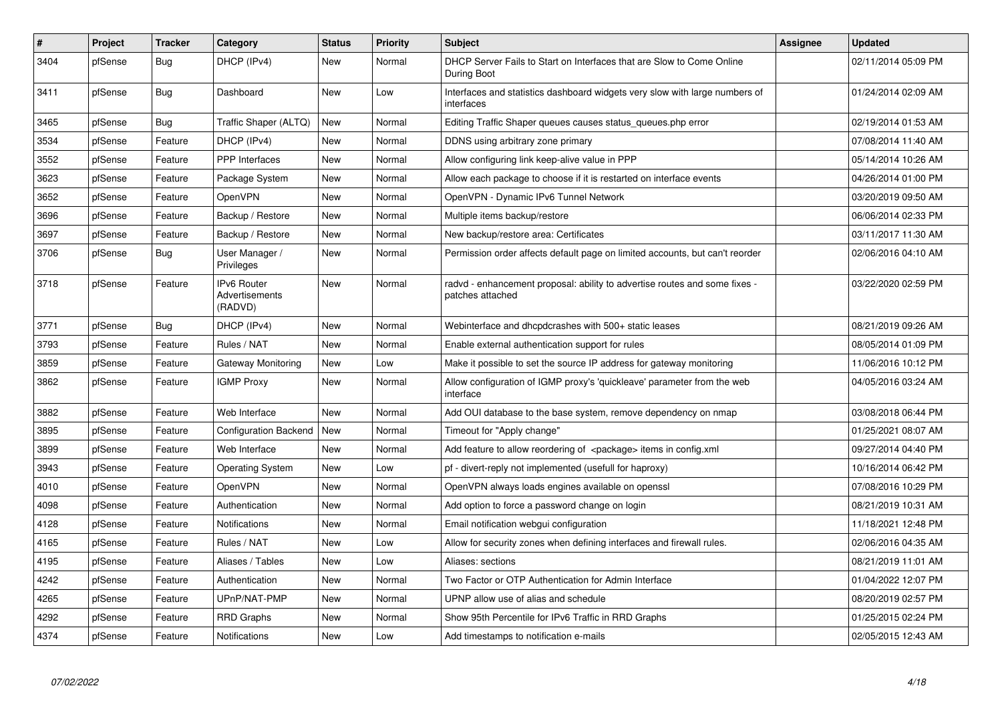| $\vert$ # | <b>Project</b> | <b>Tracker</b> | Category                                        | <b>Status</b> | <b>Priority</b> | <b>Subject</b>                                                                                 | Assignee | <b>Updated</b>      |
|-----------|----------------|----------------|-------------------------------------------------|---------------|-----------------|------------------------------------------------------------------------------------------------|----------|---------------------|
| 3404      | pfSense        | Bug            | DHCP (IPv4)                                     | New           | Normal          | DHCP Server Fails to Start on Interfaces that are Slow to Come Online<br>During Boot           |          | 02/11/2014 05:09 PM |
| 3411      | pfSense        | <b>Bug</b>     | Dashboard                                       | New           | Low             | Interfaces and statistics dashboard widgets very slow with large numbers of<br>interfaces      |          | 01/24/2014 02:09 AM |
| 3465      | pfSense        | <b>Bug</b>     | Traffic Shaper (ALTQ)                           | New           | Normal          | Editing Traffic Shaper queues causes status_queues.php error                                   |          | 02/19/2014 01:53 AM |
| 3534      | pfSense        | Feature        | DHCP (IPv4)                                     | New           | Normal          | DDNS using arbitrary zone primary                                                              |          | 07/08/2014 11:40 AM |
| 3552      | pfSense        | Feature        | <b>PPP</b> Interfaces                           | New           | Normal          | Allow configuring link keep-alive value in PPP                                                 |          | 05/14/2014 10:26 AM |
| 3623      | pfSense        | Feature        | Package System                                  | New           | Normal          | Allow each package to choose if it is restarted on interface events                            |          | 04/26/2014 01:00 PM |
| 3652      | pfSense        | Feature        | OpenVPN                                         | New           | Normal          | OpenVPN - Dynamic IPv6 Tunnel Network                                                          |          | 03/20/2019 09:50 AM |
| 3696      | pfSense        | Feature        | Backup / Restore                                | New           | Normal          | Multiple items backup/restore                                                                  |          | 06/06/2014 02:33 PM |
| 3697      | pfSense        | Feature        | Backup / Restore                                | New           | Normal          | New backup/restore area: Certificates                                                          |          | 03/11/2017 11:30 AM |
| 3706      | pfSense        | <b>Bug</b>     | User Manager /<br>Privileges                    | <b>New</b>    | Normal          | Permission order affects default page on limited accounts, but can't reorder                   |          | 02/06/2016 04:10 AM |
| 3718      | pfSense        | Feature        | <b>IPv6 Router</b><br>Advertisements<br>(RADVD) | <b>New</b>    | Normal          | radvd - enhancement proposal: ability to advertise routes and some fixes -<br>patches attached |          | 03/22/2020 02:59 PM |
| 3771      | pfSense        | <b>Bug</b>     | DHCP (IPv4)                                     | New           | Normal          | Webinterface and dhcpdcrashes with 500+ static leases                                          |          | 08/21/2019 09:26 AM |
| 3793      | pfSense        | Feature        | Rules / NAT                                     | New           | Normal          | Enable external authentication support for rules                                               |          | 08/05/2014 01:09 PM |
| 3859      | pfSense        | Feature        | Gateway Monitoring                              | New           | Low             | Make it possible to set the source IP address for gateway monitoring                           |          | 11/06/2016 10:12 PM |
| 3862      | pfSense        | Feature        | <b>IGMP Proxy</b>                               | New           | Normal          | Allow configuration of IGMP proxy's 'quickleave' parameter from the web<br>interface           |          | 04/05/2016 03:24 AM |
| 3882      | pfSense        | Feature        | Web Interface                                   | New           | Normal          | Add OUI database to the base system, remove dependency on nmap                                 |          | 03/08/2018 06:44 PM |
| 3895      | pfSense        | Feature        | Configuration Backend                           | New           | Normal          | Timeout for "Apply change"                                                                     |          | 01/25/2021 08:07 AM |
| 3899      | pfSense        | Feature        | Web Interface                                   | New           | Normal          | Add feature to allow reordering of <package> items in config.xml</package>                     |          | 09/27/2014 04:40 PM |
| 3943      | pfSense        | Feature        | <b>Operating System</b>                         | New           | Low             | pf - divert-reply not implemented (usefull for haproxy)                                        |          | 10/16/2014 06:42 PM |
| 4010      | pfSense        | Feature        | <b>OpenVPN</b>                                  | New           | Normal          | OpenVPN always loads engines available on openssl                                              |          | 07/08/2016 10:29 PM |
| 4098      | pfSense        | Feature        | Authentication                                  | New           | Normal          | Add option to force a password change on login                                                 |          | 08/21/2019 10:31 AM |
| 4128      | pfSense        | Feature        | Notifications                                   | <b>New</b>    | Normal          | Email notification webgui configuration                                                        |          | 11/18/2021 12:48 PM |
| 4165      | pfSense        | Feature        | Rules / NAT                                     | New           | Low             | Allow for security zones when defining interfaces and firewall rules.                          |          | 02/06/2016 04:35 AM |
| 4195      | pfSense        | Feature        | Aliases / Tables                                | New           | Low             | Aliases: sections                                                                              |          | 08/21/2019 11:01 AM |
| 4242      | pfSense        | Feature        | Authentication                                  | New           | Normal          | Two Factor or OTP Authentication for Admin Interface                                           |          | 01/04/2022 12:07 PM |
| 4265      | pfSense        | Feature        | UPnP/NAT-PMP                                    | New           | Normal          | UPNP allow use of alias and schedule                                                           |          | 08/20/2019 02:57 PM |
| 4292      | pfSense        | Feature        | <b>RRD Graphs</b>                               | New           | Normal          | Show 95th Percentile for IPv6 Traffic in RRD Graphs                                            |          | 01/25/2015 02:24 PM |
| 4374      | pfSense        | Feature        | <b>Notifications</b>                            | New           | Low             | Add timestamps to notification e-mails                                                         |          | 02/05/2015 12:43 AM |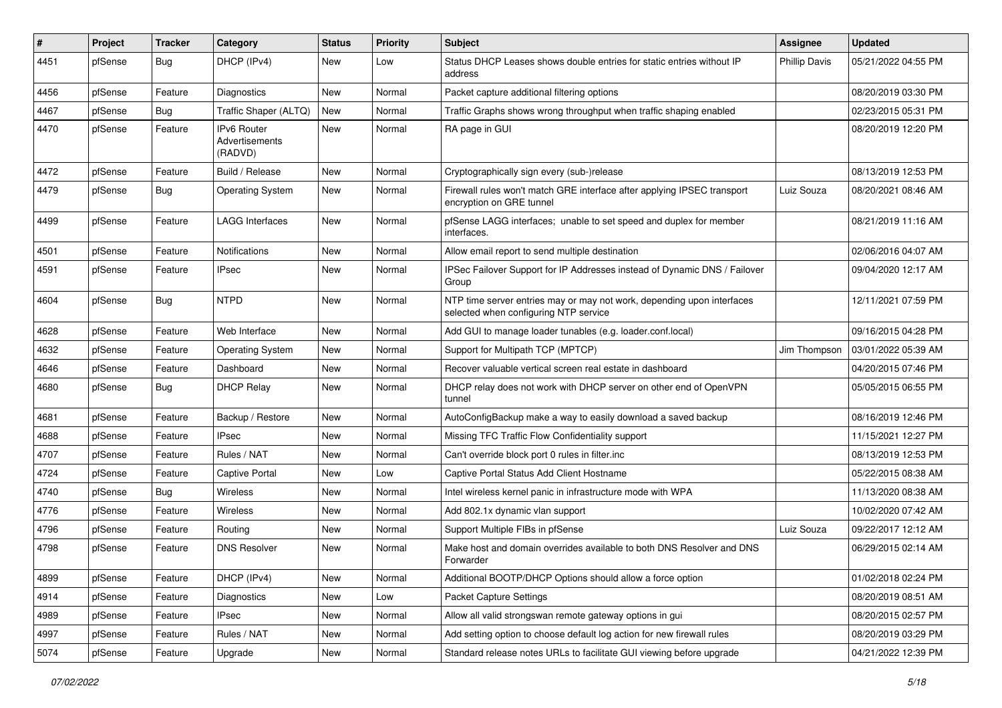| #    | Project | <b>Tracker</b> | Category                                 | <b>Status</b> | <b>Priority</b> | <b>Subject</b>                                                                                                  | <b>Assignee</b>      | <b>Updated</b>      |
|------|---------|----------------|------------------------------------------|---------------|-----------------|-----------------------------------------------------------------------------------------------------------------|----------------------|---------------------|
| 4451 | pfSense | <b>Bug</b>     | DHCP (IPv4)                              | New           | Low             | Status DHCP Leases shows double entries for static entries without IP<br>address                                | <b>Phillip Davis</b> | 05/21/2022 04:55 PM |
| 4456 | pfSense | Feature        | Diagnostics                              | New           | Normal          | Packet capture additional filtering options                                                                     |                      | 08/20/2019 03:30 PM |
| 4467 | pfSense | Bug            | Traffic Shaper (ALTQ)                    | New           | Normal          | Traffic Graphs shows wrong throughput when traffic shaping enabled                                              |                      | 02/23/2015 05:31 PM |
| 4470 | pfSense | Feature        | IPv6 Router<br>Advertisements<br>(RADVD) | <b>New</b>    | Normal          | RA page in GUI                                                                                                  |                      | 08/20/2019 12:20 PM |
| 4472 | pfSense | Feature        | Build / Release                          | New           | Normal          | Cryptographically sign every (sub-)release                                                                      |                      | 08/13/2019 12:53 PM |
| 4479 | pfSense | <b>Bug</b>     | <b>Operating System</b>                  | New           | Normal          | Firewall rules won't match GRE interface after applying IPSEC transport<br>encryption on GRE tunnel             | Luiz Souza           | 08/20/2021 08:46 AM |
| 4499 | pfSense | Feature        | <b>LAGG Interfaces</b>                   | <b>New</b>    | Normal          | pfSense LAGG interfaces; unable to set speed and duplex for member<br>interfaces.                               |                      | 08/21/2019 11:16 AM |
| 4501 | pfSense | Feature        | Notifications                            | New           | Normal          | Allow email report to send multiple destination                                                                 |                      | 02/06/2016 04:07 AM |
| 4591 | pfSense | Feature        | <b>IPsec</b>                             | New           | Normal          | IPSec Failover Support for IP Addresses instead of Dynamic DNS / Failover<br>Group                              |                      | 09/04/2020 12:17 AM |
| 4604 | pfSense | Bug            | <b>NTPD</b>                              | <b>New</b>    | Normal          | NTP time server entries may or may not work, depending upon interfaces<br>selected when configuring NTP service |                      | 12/11/2021 07:59 PM |
| 4628 | pfSense | Feature        | Web Interface                            | <b>New</b>    | Normal          | Add GUI to manage loader tunables (e.g. loader.conf.local)                                                      |                      | 09/16/2015 04:28 PM |
| 4632 | pfSense | Feature        | <b>Operating System</b>                  | New           | Normal          | Support for Multipath TCP (MPTCP)                                                                               | Jim Thompson         | 03/01/2022 05:39 AM |
| 4646 | pfSense | Feature        | Dashboard                                | New           | Normal          | Recover valuable vertical screen real estate in dashboard                                                       |                      | 04/20/2015 07:46 PM |
| 4680 | pfSense | <b>Bug</b>     | <b>DHCP Relay</b>                        | New           | Normal          | DHCP relay does not work with DHCP server on other end of OpenVPN<br>tunnel                                     |                      | 05/05/2015 06:55 PM |
| 4681 | pfSense | Feature        | Backup / Restore                         | New           | Normal          | AutoConfigBackup make a way to easily download a saved backup                                                   |                      | 08/16/2019 12:46 PM |
| 4688 | pfSense | Feature        | <b>IPsec</b>                             | New           | Normal          | Missing TFC Traffic Flow Confidentiality support                                                                |                      | 11/15/2021 12:27 PM |
| 4707 | pfSense | Feature        | Rules / NAT                              | New           | Normal          | Can't override block port 0 rules in filter.inc                                                                 |                      | 08/13/2019 12:53 PM |
| 4724 | pfSense | Feature        | <b>Captive Portal</b>                    | <b>New</b>    | Low             | Captive Portal Status Add Client Hostname                                                                       |                      | 05/22/2015 08:38 AM |
| 4740 | pfSense | <b>Bug</b>     | <b>Wireless</b>                          | New           | Normal          | Intel wireless kernel panic in infrastructure mode with WPA                                                     |                      | 11/13/2020 08:38 AM |
| 4776 | pfSense | Feature        | Wireless                                 | New           | Normal          | Add 802.1x dynamic vlan support                                                                                 |                      | 10/02/2020 07:42 AM |
| 4796 | pfSense | Feature        | Routing                                  | <b>New</b>    | Normal          | Support Multiple FIBs in pfSense                                                                                | Luiz Souza           | 09/22/2017 12:12 AM |
| 4798 | pfSense | Feature        | <b>DNS Resolver</b>                      | New           | Normal          | Make host and domain overrides available to both DNS Resolver and DNS<br>Forwarder                              |                      | 06/29/2015 02:14 AM |
| 4899 | pfSense | Feature        | DHCP (IPv4)                              | New           | Normal          | Additional BOOTP/DHCP Options should allow a force option                                                       |                      | 01/02/2018 02:24 PM |
| 4914 | pfSense | Feature        | Diagnostics                              | New           | Low             | Packet Capture Settings                                                                                         |                      | 08/20/2019 08:51 AM |
| 4989 | pfSense | Feature        | <b>IPsec</b>                             | New           | Normal          | Allow all valid strongswan remote gateway options in gui                                                        |                      | 08/20/2015 02:57 PM |
| 4997 | pfSense | Feature        | Rules / NAT                              | New           | Normal          | Add setting option to choose default log action for new firewall rules                                          |                      | 08/20/2019 03:29 PM |
| 5074 | pfSense | Feature        | Upgrade                                  | New           | Normal          | Standard release notes URLs to facilitate GUI viewing before upgrade                                            |                      | 04/21/2022 12:39 PM |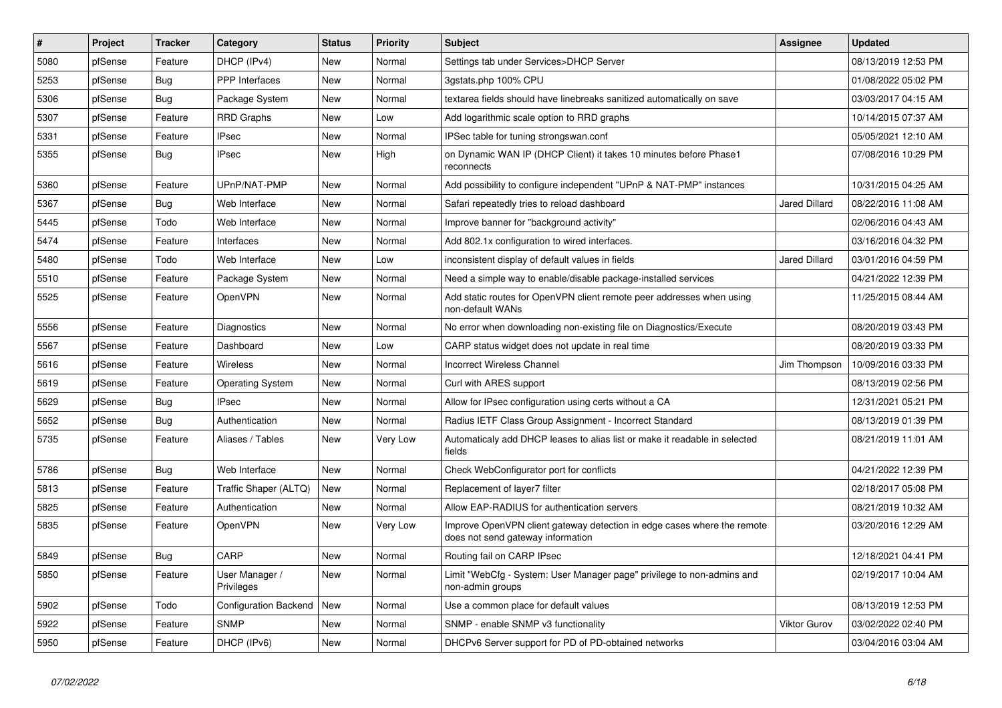| #    | Project | <b>Tracker</b> | Category                     | <b>Status</b> | <b>Priority</b> | <b>Subject</b>                                                                                               | <b>Assignee</b>      | <b>Updated</b>      |
|------|---------|----------------|------------------------------|---------------|-----------------|--------------------------------------------------------------------------------------------------------------|----------------------|---------------------|
| 5080 | pfSense | Feature        | DHCP (IPv4)                  | <b>New</b>    | Normal          | Settings tab under Services>DHCP Server                                                                      |                      | 08/13/2019 12:53 PM |
| 5253 | pfSense | Bug            | <b>PPP</b> Interfaces        | <b>New</b>    | Normal          | 3gstats.php 100% CPU                                                                                         |                      | 01/08/2022 05:02 PM |
| 5306 | pfSense | Bug            | Package System               | New           | Normal          | textarea fields should have linebreaks sanitized automatically on save                                       |                      | 03/03/2017 04:15 AM |
| 5307 | pfSense | Feature        | <b>RRD Graphs</b>            | New           | Low             | Add logarithmic scale option to RRD graphs                                                                   |                      | 10/14/2015 07:37 AM |
| 5331 | pfSense | Feature        | <b>IPsec</b>                 | <b>New</b>    | Normal          | IPSec table for tuning strongswan.conf                                                                       |                      | 05/05/2021 12:10 AM |
| 5355 | pfSense | <b>Bug</b>     | <b>IPsec</b>                 | <b>New</b>    | High            | on Dynamic WAN IP (DHCP Client) it takes 10 minutes before Phase1<br>reconnects                              |                      | 07/08/2016 10:29 PM |
| 5360 | pfSense | Feature        | UPnP/NAT-PMP                 | New           | Normal          | Add possibility to configure independent "UPnP & NAT-PMP" instances                                          |                      | 10/31/2015 04:25 AM |
| 5367 | pfSense | <b>Bug</b>     | Web Interface                | New           | Normal          | Safari repeatedly tries to reload dashboard                                                                  | <b>Jared Dillard</b> | 08/22/2016 11:08 AM |
| 5445 | pfSense | Todo           | Web Interface                | <b>New</b>    | Normal          | Improve banner for "background activity"                                                                     |                      | 02/06/2016 04:43 AM |
| 5474 | pfSense | Feature        | Interfaces                   | <b>New</b>    | Normal          | Add 802.1x configuration to wired interfaces.                                                                |                      | 03/16/2016 04:32 PM |
| 5480 | pfSense | Todo           | Web Interface                | New           | Low             | inconsistent display of default values in fields                                                             | <b>Jared Dillard</b> | 03/01/2016 04:59 PM |
| 5510 | pfSense | Feature        | Package System               | New           | Normal          | Need a simple way to enable/disable package-installed services                                               |                      | 04/21/2022 12:39 PM |
| 5525 | pfSense | Feature        | OpenVPN                      | <b>New</b>    | Normal          | Add static routes for OpenVPN client remote peer addresses when using<br>non-default WANs                    |                      | 11/25/2015 08:44 AM |
| 5556 | pfSense | Feature        | Diagnostics                  | New           | Normal          | No error when downloading non-existing file on Diagnostics/Execute                                           |                      | 08/20/2019 03:43 PM |
| 5567 | pfSense | Feature        | Dashboard                    | New           | Low             | CARP status widget does not update in real time                                                              |                      | 08/20/2019 03:33 PM |
| 5616 | pfSense | Feature        | <b>Wireless</b>              | New           | Normal          | <b>Incorrect Wireless Channel</b>                                                                            | Jim Thompson         | 10/09/2016 03:33 PM |
| 5619 | pfSense | Feature        | <b>Operating System</b>      | New           | Normal          | Curl with ARES support                                                                                       |                      | 08/13/2019 02:56 PM |
| 5629 | pfSense | Bug            | <b>IPsec</b>                 | New           | Normal          | Allow for IPsec configuration using certs without a CA                                                       |                      | 12/31/2021 05:21 PM |
| 5652 | pfSense | Bug            | Authentication               | New           | Normal          | Radius IETF Class Group Assignment - Incorrect Standard                                                      |                      | 08/13/2019 01:39 PM |
| 5735 | pfSense | Feature        | Aliases / Tables             | New           | Very Low        | Automaticaly add DHCP leases to alias list or make it readable in selected<br>fields                         |                      | 08/21/2019 11:01 AM |
| 5786 | pfSense | Bug            | Web Interface                | New           | Normal          | Check WebConfigurator port for conflicts                                                                     |                      | 04/21/2022 12:39 PM |
| 5813 | pfSense | Feature        | Traffic Shaper (ALTQ)        | New           | Normal          | Replacement of layer7 filter                                                                                 |                      | 02/18/2017 05:08 PM |
| 5825 | pfSense | Feature        | Authentication               | New           | Normal          | Allow EAP-RADIUS for authentication servers                                                                  |                      | 08/21/2019 10:32 AM |
| 5835 | pfSense | Feature        | OpenVPN                      | New           | Very Low        | Improve OpenVPN client gateway detection in edge cases where the remote<br>does not send gateway information |                      | 03/20/2016 12:29 AM |
| 5849 | pfSense | Bug            | CARP                         | <b>New</b>    | Normal          | Routing fail on CARP IPsec                                                                                   |                      | 12/18/2021 04:41 PM |
| 5850 | pfSense | Feature        | User Manager /<br>Privileges | <b>New</b>    | Normal          | Limit "WebCfg - System: User Manager page" privilege to non-admins and<br>non-admin groups                   |                      | 02/19/2017 10:04 AM |
| 5902 | pfSense | Todo           | <b>Configuration Backend</b> | <b>New</b>    | Normal          | Use a common place for default values                                                                        |                      | 08/13/2019 12:53 PM |
| 5922 | pfSense | Feature        | <b>SNMP</b>                  | <b>New</b>    | Normal          | SNMP - enable SNMP v3 functionality                                                                          | <b>Viktor Gurov</b>  | 03/02/2022 02:40 PM |
| 5950 | pfSense | Feature        | DHCP (IPv6)                  | <b>New</b>    | Normal          | DHCPv6 Server support for PD of PD-obtained networks                                                         |                      | 03/04/2016 03:04 AM |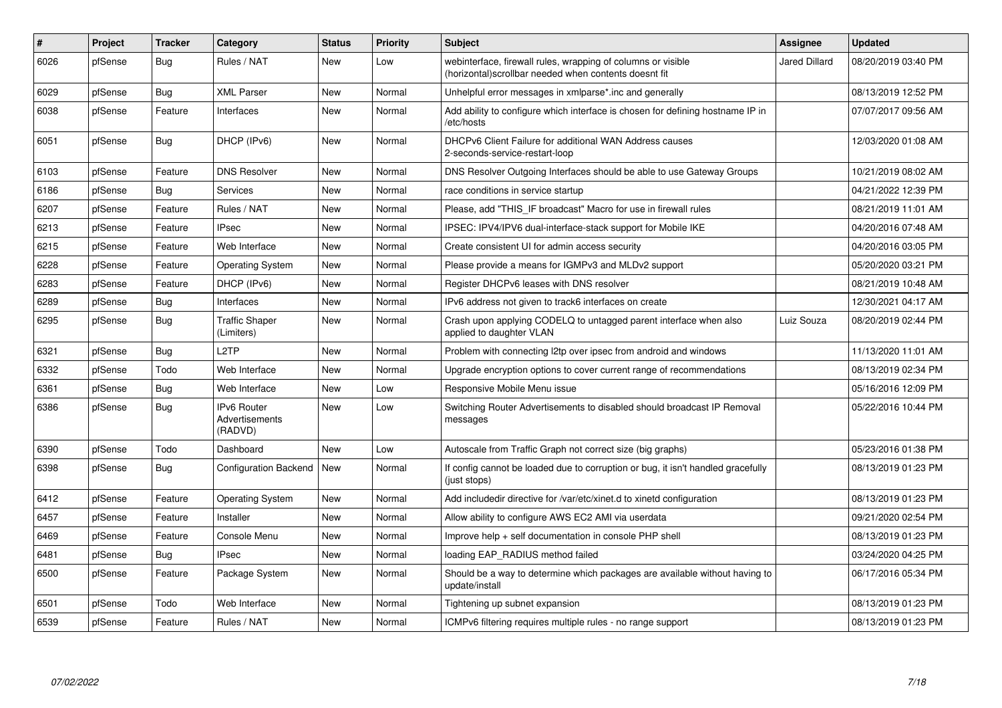| #    | Project | <b>Tracker</b> | Category                                 | <b>Status</b> | <b>Priority</b> | <b>Subject</b>                                                                                                         | Assignee             | <b>Updated</b>      |
|------|---------|----------------|------------------------------------------|---------------|-----------------|------------------------------------------------------------------------------------------------------------------------|----------------------|---------------------|
| 6026 | pfSense | Bug            | Rules / NAT                              | <b>New</b>    | Low             | webinterface, firewall rules, wrapping of columns or visible<br>(horizontal) scrollbar needed when contents doesnt fit | <b>Jared Dillard</b> | 08/20/2019 03:40 PM |
| 6029 | pfSense | Bug            | <b>XML Parser</b>                        | New           | Normal          | Unhelpful error messages in xmlparse*.inc and generally                                                                |                      | 08/13/2019 12:52 PM |
| 6038 | pfSense | Feature        | Interfaces                               | New           | Normal          | Add ability to configure which interface is chosen for defining hostname IP in<br>/etc/hosts                           |                      | 07/07/2017 09:56 AM |
| 6051 | pfSense | <b>Bug</b>     | DHCP (IPv6)                              | <b>New</b>    | Normal          | DHCPv6 Client Failure for additional WAN Address causes<br>2-seconds-service-restart-loop                              |                      | 12/03/2020 01:08 AM |
| 6103 | pfSense | Feature        | <b>DNS Resolver</b>                      | <b>New</b>    | Normal          | DNS Resolver Outgoing Interfaces should be able to use Gateway Groups                                                  |                      | 10/21/2019 08:02 AM |
| 6186 | pfSense | <b>Bug</b>     | Services                                 | <b>New</b>    | Normal          | race conditions in service startup                                                                                     |                      | 04/21/2022 12:39 PM |
| 6207 | pfSense | Feature        | Rules / NAT                              | New           | Normal          | Please, add "THIS IF broadcast" Macro for use in firewall rules                                                        |                      | 08/21/2019 11:01 AM |
| 6213 | pfSense | Feature        | <b>IPsec</b>                             | New           | Normal          | IPSEC: IPV4/IPV6 dual-interface-stack support for Mobile IKE                                                           |                      | 04/20/2016 07:48 AM |
| 6215 | pfSense | Feature        | Web Interface                            | <b>New</b>    | Normal          | Create consistent UI for admin access security                                                                         |                      | 04/20/2016 03:05 PM |
| 6228 | pfSense | Feature        | <b>Operating System</b>                  | New           | Normal          | Please provide a means for IGMPv3 and MLDv2 support                                                                    |                      | 05/20/2020 03:21 PM |
| 6283 | pfSense | Feature        | DHCP (IPv6)                              | New           | Normal          | Register DHCPv6 leases with DNS resolver                                                                               |                      | 08/21/2019 10:48 AM |
| 6289 | pfSense | <b>Bug</b>     | Interfaces                               | <b>New</b>    | Normal          | IPv6 address not given to track6 interfaces on create                                                                  |                      | 12/30/2021 04:17 AM |
| 6295 | pfSense | <b>Bug</b>     | <b>Traffic Shaper</b><br>(Limiters)      | <b>New</b>    | Normal          | Crash upon applying CODELQ to untagged parent interface when also<br>applied to daughter VLAN                          | Luiz Souza           | 08/20/2019 02:44 PM |
| 6321 | pfSense | Bug            | L <sub>2</sub> TP                        | New           | Normal          | Problem with connecting I2tp over ipsec from android and windows                                                       |                      | 11/13/2020 11:01 AM |
| 6332 | pfSense | Todo           | Web Interface                            | <b>New</b>    | Normal          | Upgrade encryption options to cover current range of recommendations                                                   |                      | 08/13/2019 02:34 PM |
| 6361 | pfSense | Bug            | Web Interface                            | <b>New</b>    | Low             | Responsive Mobile Menu issue                                                                                           |                      | 05/16/2016 12:09 PM |
| 6386 | pfSense | <b>Bug</b>     | IPv6 Router<br>Advertisements<br>(RADVD) | New           | Low             | Switching Router Advertisements to disabled should broadcast IP Removal<br>messages                                    |                      | 05/22/2016 10:44 PM |
| 6390 | pfSense | Todo           | Dashboard                                | <b>New</b>    | Low             | Autoscale from Traffic Graph not correct size (big graphs)                                                             |                      | 05/23/2016 01:38 PM |
| 6398 | pfSense | Bug            | <b>Configuration Backend</b>             | New           | Normal          | If config cannot be loaded due to corruption or bug, it isn't handled gracefully<br>(just stops)                       |                      | 08/13/2019 01:23 PM |
| 6412 | pfSense | Feature        | <b>Operating System</b>                  | New           | Normal          | Add includedir directive for /var/etc/xinet.d to xinetd configuration                                                  |                      | 08/13/2019 01:23 PM |
| 6457 | pfSense | Feature        | Installer                                | <b>New</b>    | Normal          | Allow ability to configure AWS EC2 AMI via userdata                                                                    |                      | 09/21/2020 02:54 PM |
| 6469 | pfSense | Feature        | Console Menu                             | New           | Normal          | Improve help + self documentation in console PHP shell                                                                 |                      | 08/13/2019 01:23 PM |
| 6481 | pfSense | Bug            | <b>IPsec</b>                             | New           | Normal          | loading EAP RADIUS method failed                                                                                       |                      | 03/24/2020 04:25 PM |
| 6500 | pfSense | Feature        | Package System                           | <b>New</b>    | Normal          | Should be a way to determine which packages are available without having to<br>update/install                          |                      | 06/17/2016 05:34 PM |
| 6501 | pfSense | Todo           | Web Interface                            | <b>New</b>    | Normal          | Tightening up subnet expansion                                                                                         |                      | 08/13/2019 01:23 PM |
| 6539 | pfSense | Feature        | Rules / NAT                              | New           | Normal          | ICMPv6 filtering requires multiple rules - no range support                                                            |                      | 08/13/2019 01:23 PM |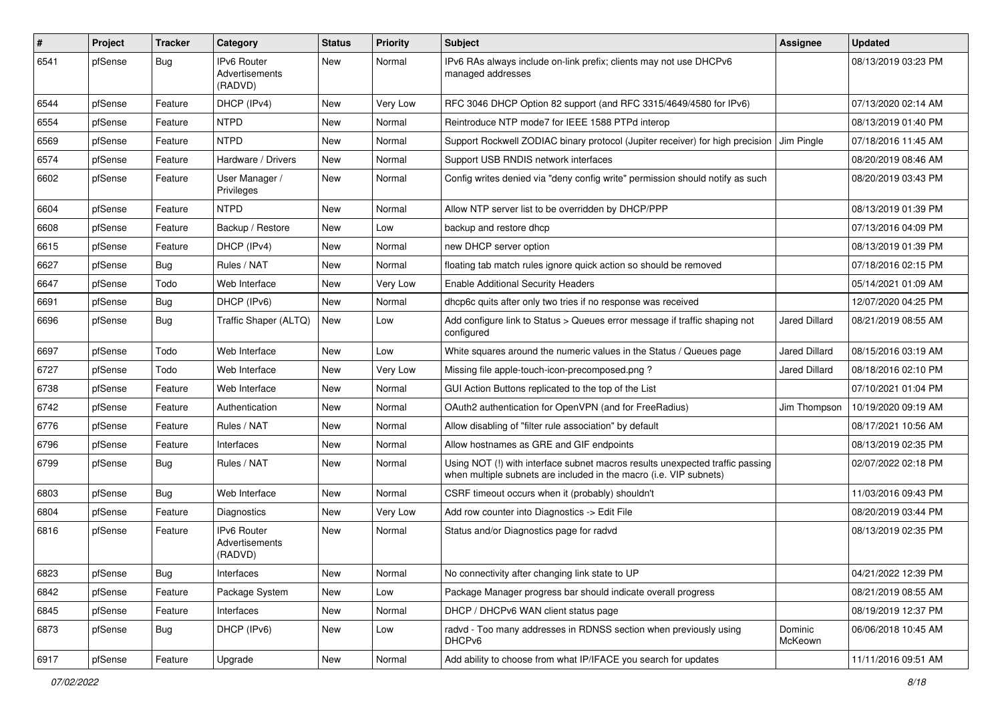| #    | Project | <b>Tracker</b> | Category                                        | <b>Status</b> | <b>Priority</b> | <b>Subject</b>                                                                                                                                      | Assignee             | <b>Updated</b>      |
|------|---------|----------------|-------------------------------------------------|---------------|-----------------|-----------------------------------------------------------------------------------------------------------------------------------------------------|----------------------|---------------------|
| 6541 | pfSense | <b>Bug</b>     | <b>IPv6 Router</b><br>Advertisements<br>(RADVD) | <b>New</b>    | Normal          | IPv6 RAs always include on-link prefix; clients may not use DHCPv6<br>managed addresses                                                             |                      | 08/13/2019 03:23 PM |
| 6544 | pfSense | Feature        | DHCP (IPv4)                                     | <b>New</b>    | Very Low        | RFC 3046 DHCP Option 82 support (and RFC 3315/4649/4580 for IPv6)                                                                                   |                      | 07/13/2020 02:14 AM |
| 6554 | pfSense | Feature        | <b>NTPD</b>                                     | <b>New</b>    | Normal          | Reintroduce NTP mode7 for IEEE 1588 PTPd interop                                                                                                    |                      | 08/13/2019 01:40 PM |
| 6569 | pfSense | Feature        | <b>NTPD</b>                                     | <b>New</b>    | Normal          | Support Rockwell ZODIAC binary protocol (Jupiter receiver) for high precision                                                                       | Jim Pingle           | 07/18/2016 11:45 AM |
| 6574 | pfSense | Feature        | Hardware / Drivers                              | New           | Normal          | Support USB RNDIS network interfaces                                                                                                                |                      | 08/20/2019 08:46 AM |
| 6602 | pfSense | Feature        | User Manager /<br>Privileges                    | <b>New</b>    | Normal          | Config writes denied via "deny config write" permission should notify as such                                                                       |                      | 08/20/2019 03:43 PM |
| 6604 | pfSense | Feature        | <b>NTPD</b>                                     | <b>New</b>    | Normal          | Allow NTP server list to be overridden by DHCP/PPP                                                                                                  |                      | 08/13/2019 01:39 PM |
| 6608 | pfSense | Feature        | Backup / Restore                                | New           | Low             | backup and restore dhcp                                                                                                                             |                      | 07/13/2016 04:09 PM |
| 6615 | pfSense | Feature        | DHCP (IPv4)                                     | New           | Normal          | new DHCP server option                                                                                                                              |                      | 08/13/2019 01:39 PM |
| 6627 | pfSense | <b>Bug</b>     | Rules / NAT                                     | <b>New</b>    | Normal          | floating tab match rules ignore quick action so should be removed                                                                                   |                      | 07/18/2016 02:15 PM |
| 6647 | pfSense | Todo           | Web Interface                                   | New           | Very Low        | <b>Enable Additional Security Headers</b>                                                                                                           |                      | 05/14/2021 01:09 AM |
| 6691 | pfSense | Bug            | DHCP (IPv6)                                     | <b>New</b>    | Normal          | dhcp6c quits after only two tries if no response was received                                                                                       |                      | 12/07/2020 04:25 PM |
| 6696 | pfSense | <b>Bug</b>     | Traffic Shaper (ALTQ)                           | <b>New</b>    | Low             | Add configure link to Status > Queues error message if traffic shaping not<br>configured                                                            | Jared Dillard        | 08/21/2019 08:55 AM |
| 6697 | pfSense | Todo           | Web Interface                                   | <b>New</b>    | Low             | White squares around the numeric values in the Status / Queues page                                                                                 | <b>Jared Dillard</b> | 08/15/2016 03:19 AM |
| 6727 | pfSense | Todo           | Web Interface                                   | New           | Very Low        | Missing file apple-touch-icon-precomposed.png?                                                                                                      | Jared Dillard        | 08/18/2016 02:10 PM |
| 6738 | pfSense | Feature        | Web Interface                                   | <b>New</b>    | Normal          | GUI Action Buttons replicated to the top of the List                                                                                                |                      | 07/10/2021 01:04 PM |
| 6742 | pfSense | Feature        | Authentication                                  | <b>New</b>    | Normal          | OAuth2 authentication for OpenVPN (and for FreeRadius)                                                                                              | Jim Thompson         | 10/19/2020 09:19 AM |
| 6776 | pfSense | Feature        | Rules / NAT                                     | New           | Normal          | Allow disabling of "filter rule association" by default                                                                                             |                      | 08/17/2021 10:56 AM |
| 6796 | pfSense | Feature        | Interfaces                                      | <b>New</b>    | Normal          | Allow hostnames as GRE and GIF endpoints                                                                                                            |                      | 08/13/2019 02:35 PM |
| 6799 | pfSense | Bug            | Rules / NAT                                     | New           | Normal          | Using NOT (!) with interface subnet macros results unexpected traffic passing<br>when multiple subnets are included in the macro (i.e. VIP subnets) |                      | 02/07/2022 02:18 PM |
| 6803 | pfSense | Bug            | Web Interface                                   | <b>New</b>    | Normal          | CSRF timeout occurs when it (probably) shouldn't                                                                                                    |                      | 11/03/2016 09:43 PM |
| 6804 | pfSense | Feature        | <b>Diagnostics</b>                              | New           | Very Low        | Add row counter into Diagnostics -> Edit File                                                                                                       |                      | 08/20/2019 03:44 PM |
| 6816 | pfSense | Feature        | IPv6 Router<br>Advertisements<br>(RADVD)        | New           | Normal          | Status and/or Diagnostics page for radvd                                                                                                            |                      | 08/13/2019 02:35 PM |
| 6823 | pfSense | Bug            | Interfaces                                      | New           | Normal          | No connectivity after changing link state to UP                                                                                                     |                      | 04/21/2022 12:39 PM |
| 6842 | pfSense | Feature        | Package System                                  | New           | Low             | Package Manager progress bar should indicate overall progress                                                                                       |                      | 08/21/2019 08:55 AM |
| 6845 | pfSense | Feature        | Interfaces                                      | New           | Normal          | DHCP / DHCPv6 WAN client status page                                                                                                                |                      | 08/19/2019 12:37 PM |
| 6873 | pfSense | Bug            | DHCP (IPv6)                                     | New           | Low             | radvd - Too many addresses in RDNSS section when previously using<br>DHCP <sub>v6</sub>                                                             | Dominic<br>McKeown   | 06/06/2018 10:45 AM |
| 6917 | pfSense | Feature        | Upgrade                                         | New           | Normal          | Add ability to choose from what IP/IFACE you search for updates                                                                                     |                      | 11/11/2016 09:51 AM |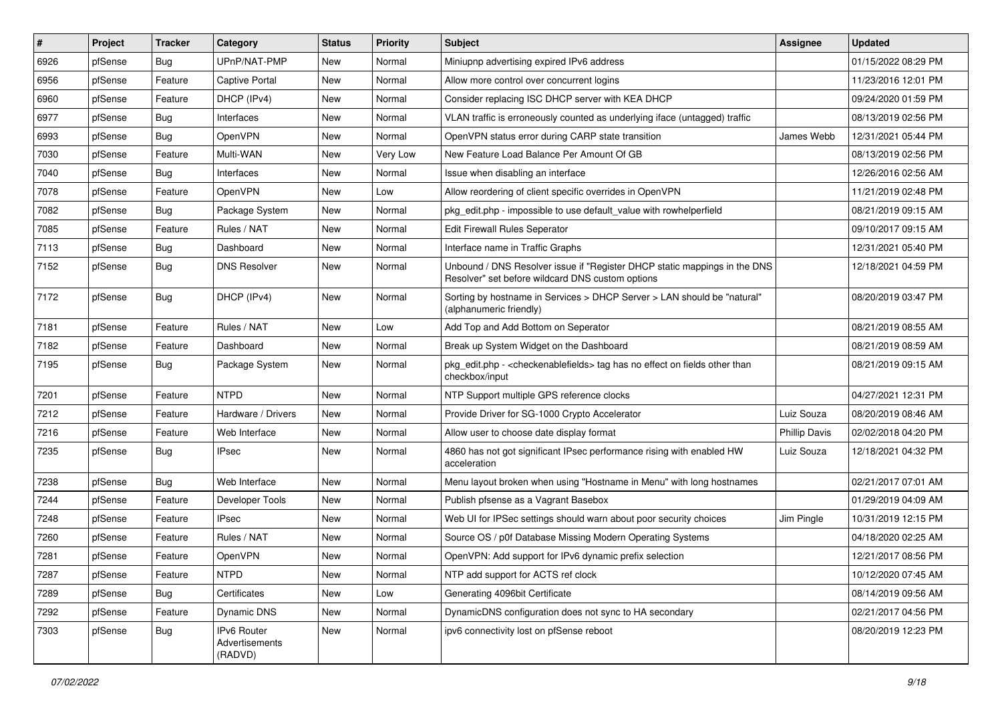| #    | Project | <b>Tracker</b> | Category                                 | <b>Status</b> | <b>Priority</b> | Subject                                                                                                                       | <b>Assignee</b>      | <b>Updated</b>      |
|------|---------|----------------|------------------------------------------|---------------|-----------------|-------------------------------------------------------------------------------------------------------------------------------|----------------------|---------------------|
| 6926 | pfSense | Bug            | UPnP/NAT-PMP                             | New           | Normal          | Miniupnp advertising expired IPv6 address                                                                                     |                      | 01/15/2022 08:29 PM |
| 6956 | pfSense | Feature        | Captive Portal                           | <b>New</b>    | Normal          | Allow more control over concurrent logins                                                                                     |                      | 11/23/2016 12:01 PM |
| 6960 | pfSense | Feature        | DHCP (IPv4)                              | New           | Normal          | Consider replacing ISC DHCP server with KEA DHCP                                                                              |                      | 09/24/2020 01:59 PM |
| 6977 | pfSense | Bug            | Interfaces                               | New           | Normal          | VLAN traffic is erroneously counted as underlying iface (untagged) traffic                                                    |                      | 08/13/2019 02:56 PM |
| 6993 | pfSense | Bug            | OpenVPN                                  | New           | Normal          | OpenVPN status error during CARP state transition                                                                             | James Webb           | 12/31/2021 05:44 PM |
| 7030 | pfSense | Feature        | Multi-WAN                                | New           | Very Low        | New Feature Load Balance Per Amount Of GB                                                                                     |                      | 08/13/2019 02:56 PM |
| 7040 | pfSense | Bug            | Interfaces                               | New           | Normal          | Issue when disabling an interface                                                                                             |                      | 12/26/2016 02:56 AM |
| 7078 | pfSense | Feature        | OpenVPN                                  | New           | Low             | Allow reordering of client specific overrides in OpenVPN                                                                      |                      | 11/21/2019 02:48 PM |
| 7082 | pfSense | Bug            | Package System                           | New           | Normal          | pkg edit.php - impossible to use default value with rowhelperfield                                                            |                      | 08/21/2019 09:15 AM |
| 7085 | pfSense | Feature        | Rules / NAT                              | New           | Normal          | Edit Firewall Rules Seperator                                                                                                 |                      | 09/10/2017 09:15 AM |
| 7113 | pfSense | Bug            | Dashboard                                | New           | Normal          | Interface name in Traffic Graphs                                                                                              |                      | 12/31/2021 05:40 PM |
| 7152 | pfSense | Bug            | <b>DNS Resolver</b>                      | New           | Normal          | Unbound / DNS Resolver issue if "Register DHCP static mappings in the DNS<br>Resolver" set before wildcard DNS custom options |                      | 12/18/2021 04:59 PM |
| 7172 | pfSense | Bug            | DHCP (IPv4)                              | New           | Normal          | Sorting by hostname in Services > DHCP Server > LAN should be "natural"<br>(alphanumeric friendly)                            |                      | 08/20/2019 03:47 PM |
| 7181 | pfSense | Feature        | Rules / NAT                              | New           | Low             | Add Top and Add Bottom on Seperator                                                                                           |                      | 08/21/2019 08:55 AM |
| 7182 | pfSense | Feature        | Dashboard                                | New           | Normal          | Break up System Widget on the Dashboard                                                                                       |                      | 08/21/2019 08:59 AM |
| 7195 | pfSense | Bug            | Package System                           | New           | Normal          | pkg_edit.php - < checkenable fields > tag has no effect on fields other than<br>checkbox/input                                |                      | 08/21/2019 09:15 AM |
| 7201 | pfSense | Feature        | <b>NTPD</b>                              | New           | Normal          | NTP Support multiple GPS reference clocks                                                                                     |                      | 04/27/2021 12:31 PM |
| 7212 | pfSense | Feature        | Hardware / Drivers                       | <b>New</b>    | Normal          | Provide Driver for SG-1000 Crypto Accelerator                                                                                 | Luiz Souza           | 08/20/2019 08:46 AM |
| 7216 | pfSense | Feature        | Web Interface                            | New           | Normal          | Allow user to choose date display format                                                                                      | <b>Phillip Davis</b> | 02/02/2018 04:20 PM |
| 7235 | pfSense | Bug            | <b>IPsec</b>                             | New           | Normal          | 4860 has not got significant IPsec performance rising with enabled HW<br>acceleration                                         | Luiz Souza           | 12/18/2021 04:32 PM |
| 7238 | pfSense | Bug            | Web Interface                            | New           | Normal          | Menu layout broken when using "Hostname in Menu" with long hostnames                                                          |                      | 02/21/2017 07:01 AM |
| 7244 | pfSense | Feature        | Developer Tools                          | New           | Normal          | Publish pfsense as a Vagrant Basebox                                                                                          |                      | 01/29/2019 04:09 AM |
| 7248 | pfSense | Feature        | <b>IPsec</b>                             | New           | Normal          | Web UI for IPSec settings should warn about poor security choices                                                             | Jim Pingle           | 10/31/2019 12:15 PM |
| 7260 | pfSense | Feature        | Rules / NAT                              | New           | Normal          | Source OS / p0f Database Missing Modern Operating Systems                                                                     |                      | 04/18/2020 02:25 AM |
| 7281 | pfSense | Feature        | OpenVPN                                  | New           | Normal          | OpenVPN: Add support for IPv6 dynamic prefix selection                                                                        |                      | 12/21/2017 08:56 PM |
| 7287 | pfSense | Feature        | <b>NTPD</b>                              | New           | Normal          | NTP add support for ACTS ref clock                                                                                            |                      | 10/12/2020 07:45 AM |
| 7289 | pfSense | Bug            | Certificates                             | New           | Low             | Generating 4096bit Certificate                                                                                                |                      | 08/14/2019 09:56 AM |
| 7292 | pfSense | Feature        | Dynamic DNS                              | New           | Normal          | DynamicDNS configuration does not sync to HA secondary                                                                        |                      | 02/21/2017 04:56 PM |
| 7303 | pfSense | Bug            | IPv6 Router<br>Advertisements<br>(RADVD) | New           | Normal          | ipv6 connectivity lost on pfSense reboot                                                                                      |                      | 08/20/2019 12:23 PM |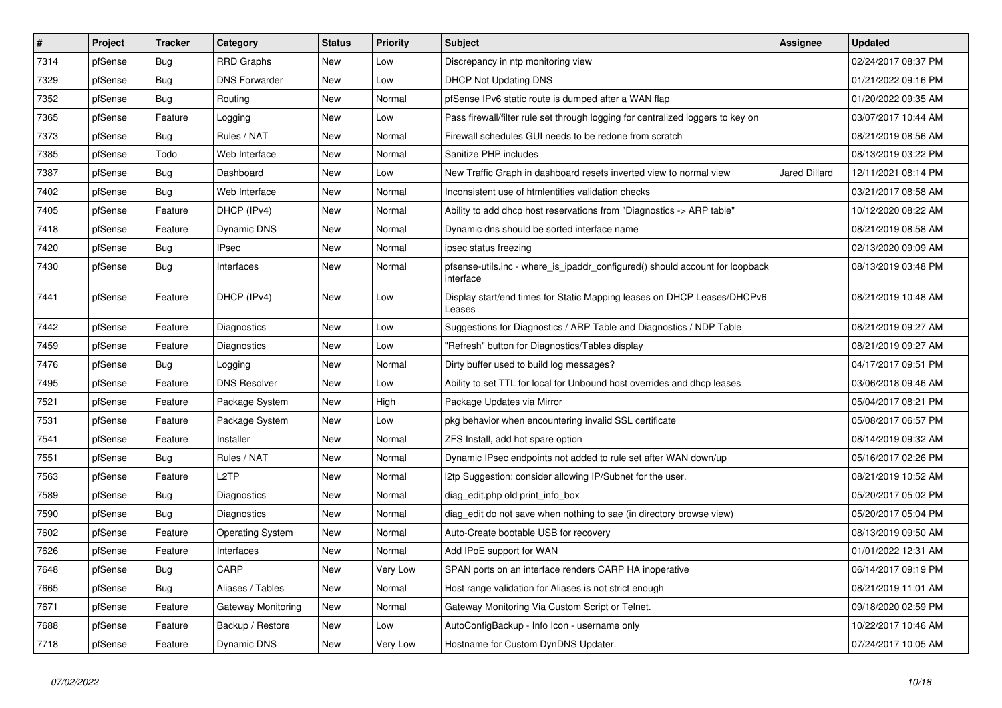| $\pmb{\#}$ | Project | <b>Tracker</b> | Category             | <b>Status</b> | <b>Priority</b> | <b>Subject</b>                                                                            | <b>Assignee</b> | <b>Updated</b>      |
|------------|---------|----------------|----------------------|---------------|-----------------|-------------------------------------------------------------------------------------------|-----------------|---------------------|
| 7314       | pfSense | <b>Bug</b>     | <b>RRD Graphs</b>    | <b>New</b>    | Low             | Discrepancy in ntp monitoring view                                                        |                 | 02/24/2017 08:37 PM |
| 7329       | pfSense | Bug            | <b>DNS Forwarder</b> | <b>New</b>    | Low             | <b>DHCP Not Updating DNS</b>                                                              |                 | 01/21/2022 09:16 PM |
| 7352       | pfSense | <b>Bug</b>     | Routing              | New           | Normal          | pfSense IPv6 static route is dumped after a WAN flap                                      |                 | 01/20/2022 09:35 AM |
| 7365       | pfSense | Feature        | Logging              | <b>New</b>    | Low             | Pass firewall/filter rule set through logging for centralized loggers to key on           |                 | 03/07/2017 10:44 AM |
| 7373       | pfSense | Bug            | Rules / NAT          | New           | Normal          | Firewall schedules GUI needs to be redone from scratch                                    |                 | 08/21/2019 08:56 AM |
| 7385       | pfSense | Todo           | Web Interface        | <b>New</b>    | Normal          | Sanitize PHP includes                                                                     |                 | 08/13/2019 03:22 PM |
| 7387       | pfSense | <b>Bug</b>     | Dashboard            | New           | Low             | New Traffic Graph in dashboard resets inverted view to normal view                        | Jared Dillard   | 12/11/2021 08:14 PM |
| 7402       | pfSense | <b>Bug</b>     | Web Interface        | New           | Normal          | Inconsistent use of htmlentities validation checks                                        |                 | 03/21/2017 08:58 AM |
| 7405       | pfSense | Feature        | DHCP (IPv4)          | New           | Normal          | Ability to add dhcp host reservations from "Diagnostics -> ARP table"                     |                 | 10/12/2020 08:22 AM |
| 7418       | pfSense | Feature        | Dynamic DNS          | New           | Normal          | Dynamic dns should be sorted interface name                                               |                 | 08/21/2019 08:58 AM |
| 7420       | pfSense | Bug            | IPsec                | New           | Normal          | ipsec status freezing                                                                     |                 | 02/13/2020 09:09 AM |
| 7430       | pfSense | Bug            | Interfaces           | New           | Normal          | pfsense-utils.inc - where is ipaddr configured() should account for loopback<br>interface |                 | 08/13/2019 03:48 PM |
| 7441       | pfSense | Feature        | DHCP (IPv4)          | New           | Low             | Display start/end times for Static Mapping leases on DHCP Leases/DHCPv6<br>Leases         |                 | 08/21/2019 10:48 AM |
| 7442       | pfSense | Feature        | Diagnostics          | New           | Low             | Suggestions for Diagnostics / ARP Table and Diagnostics / NDP Table                       |                 | 08/21/2019 09:27 AM |
| 7459       | pfSense | Feature        | Diagnostics          | <b>New</b>    | Low             | "Refresh" button for Diagnostics/Tables display                                           |                 | 08/21/2019 09:27 AM |
| 7476       | pfSense | Bug            | Logging              | New           | Normal          | Dirty buffer used to build log messages?                                                  |                 | 04/17/2017 09:51 PM |
| 7495       | pfSense | Feature        | <b>DNS Resolver</b>  | New           | Low             | Ability to set TTL for local for Unbound host overrides and dhcp leases                   |                 | 03/06/2018 09:46 AM |
| 7521       | pfSense | Feature        | Package System       | <b>New</b>    | High            | Package Updates via Mirror                                                                |                 | 05/04/2017 08:21 PM |
| 7531       | pfSense | Feature        | Package System       | <b>New</b>    | Low             | pkg behavior when encountering invalid SSL certificate                                    |                 | 05/08/2017 06:57 PM |
| 7541       | pfSense | Feature        | Installer            | New           | Normal          | ZFS Install, add hot spare option                                                         |                 | 08/14/2019 09:32 AM |
| 7551       | pfSense | Bug            | Rules / NAT          | New           | Normal          | Dynamic IPsec endpoints not added to rule set after WAN down/up                           |                 | 05/16/2017 02:26 PM |
| 7563       | pfSense | Feature        | L <sub>2</sub> TP    | <b>New</b>    | Normal          | I2tp Suggestion: consider allowing IP/Subnet for the user.                                |                 | 08/21/2019 10:52 AM |
| 7589       | pfSense | Bug            | Diagnostics          | <b>New</b>    | Normal          | diag edit.php old print info box                                                          |                 | 05/20/2017 05:02 PM |
| 7590       | pfSense | <b>Bug</b>     | Diagnostics          | New           | Normal          | diag edit do not save when nothing to sae (in directory browse view)                      |                 | 05/20/2017 05:04 PM |
| 7602       | pfSense | Feature        | Operating System     | <b>New</b>    | Normal          | Auto-Create bootable USB for recovery                                                     |                 | 08/13/2019 09:50 AM |
| 7626       | pfSense | Feature        | Interfaces           | <b>New</b>    | Normal          | Add IPoE support for WAN                                                                  |                 | 01/01/2022 12:31 AM |
| 7648       | pfSense | <b>Bug</b>     | CARP                 | <b>New</b>    | Very Low        | SPAN ports on an interface renders CARP HA inoperative                                    |                 | 06/14/2017 09:19 PM |
| 7665       | pfSense | <b>Bug</b>     | Aliases / Tables     | New           | Normal          | Host range validation for Aliases is not strict enough                                    |                 | 08/21/2019 11:01 AM |
| 7671       | pfSense | Feature        | Gateway Monitoring   | New           | Normal          | Gateway Monitoring Via Custom Script or Telnet.                                           |                 | 09/18/2020 02:59 PM |
| 7688       | pfSense | Feature        | Backup / Restore     | New           | Low             | AutoConfigBackup - Info Icon - username only                                              |                 | 10/22/2017 10:46 AM |
| 7718       | pfSense | Feature        | Dynamic DNS          | <b>New</b>    | Very Low        | Hostname for Custom DynDNS Updater.                                                       |                 | 07/24/2017 10:05 AM |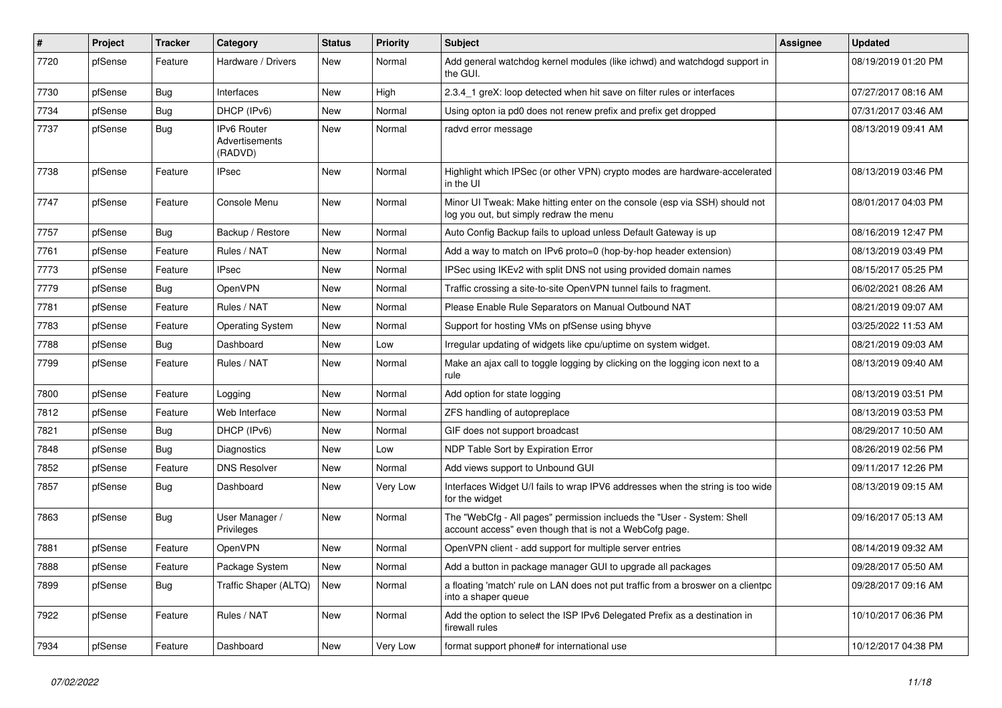| #    | Project | <b>Tracker</b> | Category                                 | <b>Status</b> | <b>Priority</b> | <b>Subject</b>                                                                                                                    | <b>Assignee</b> | <b>Updated</b>      |
|------|---------|----------------|------------------------------------------|---------------|-----------------|-----------------------------------------------------------------------------------------------------------------------------------|-----------------|---------------------|
| 7720 | pfSense | Feature        | Hardware / Drivers                       | New           | Normal          | Add general watchdog kernel modules (like ichwd) and watchdogd support in<br>the GUI.                                             |                 | 08/19/2019 01:20 PM |
| 7730 | pfSense | <b>Bug</b>     | Interfaces                               | New           | High            | 2.3.4 1 greX: loop detected when hit save on filter rules or interfaces                                                           |                 | 07/27/2017 08:16 AM |
| 7734 | pfSense | Bug            | DHCP (IPv6)                              | New           | Normal          | Using opton ia pd0 does not renew prefix and prefix get dropped                                                                   |                 | 07/31/2017 03:46 AM |
| 7737 | pfSense | Bug            | IPv6 Router<br>Advertisements<br>(RADVD) | <b>New</b>    | Normal          | radvd error message                                                                                                               |                 | 08/13/2019 09:41 AM |
| 7738 | pfSense | Feature        | <b>IPsec</b>                             | New           | Normal          | Highlight which IPSec (or other VPN) crypto modes are hardware-accelerated<br>in the UI                                           |                 | 08/13/2019 03:46 PM |
| 7747 | pfSense | Feature        | Console Menu                             | New           | Normal          | Minor UI Tweak: Make hitting enter on the console (esp via SSH) should not<br>log you out, but simply redraw the menu             |                 | 08/01/2017 04:03 PM |
| 7757 | pfSense | <b>Bug</b>     | Backup / Restore                         | New           | Normal          | Auto Config Backup fails to upload unless Default Gateway is up                                                                   |                 | 08/16/2019 12:47 PM |
| 7761 | pfSense | Feature        | Rules / NAT                              | New           | Normal          | Add a way to match on IPv6 proto=0 (hop-by-hop header extension)                                                                  |                 | 08/13/2019 03:49 PM |
| 7773 | pfSense | Feature        | <b>IPsec</b>                             | New           | Normal          | IPSec using IKEv2 with split DNS not using provided domain names                                                                  |                 | 08/15/2017 05:25 PM |
| 7779 | pfSense | <b>Bug</b>     | OpenVPN                                  | New           | Normal          | Traffic crossing a site-to-site OpenVPN tunnel fails to fragment.                                                                 |                 | 06/02/2021 08:26 AM |
| 7781 | pfSense | Feature        | Rules / NAT                              | New           | Normal          | Please Enable Rule Separators on Manual Outbound NAT                                                                              |                 | 08/21/2019 09:07 AM |
| 7783 | pfSense | Feature        | <b>Operating System</b>                  | New           | Normal          | Support for hosting VMs on pfSense using bhyve                                                                                    |                 | 03/25/2022 11:53 AM |
| 7788 | pfSense | <b>Bug</b>     | Dashboard                                | New           | Low             | Irregular updating of widgets like cpu/uptime on system widget.                                                                   |                 | 08/21/2019 09:03 AM |
| 7799 | pfSense | Feature        | Rules / NAT                              | New           | Normal          | Make an ajax call to toggle logging by clicking on the logging icon next to a<br>rule                                             |                 | 08/13/2019 09:40 AM |
| 7800 | pfSense | Feature        | Logging                                  | <b>New</b>    | Normal          | Add option for state logging                                                                                                      |                 | 08/13/2019 03:51 PM |
| 7812 | pfSense | Feature        | Web Interface                            | New           | Normal          | ZFS handling of autopreplace                                                                                                      |                 | 08/13/2019 03:53 PM |
| 7821 | pfSense | Bug            | DHCP (IPv6)                              | New           | Normal          | GIF does not support broadcast                                                                                                    |                 | 08/29/2017 10:50 AM |
| 7848 | pfSense | <b>Bug</b>     | Diagnostics                              | New           | Low             | NDP Table Sort by Expiration Error                                                                                                |                 | 08/26/2019 02:56 PM |
| 7852 | pfSense | Feature        | <b>DNS Resolver</b>                      | New           | Normal          | Add views support to Unbound GUI                                                                                                  |                 | 09/11/2017 12:26 PM |
| 7857 | pfSense | <b>Bug</b>     | Dashboard                                | New           | Very Low        | Interfaces Widget U/I fails to wrap IPV6 addresses when the string is too wide<br>for the widget                                  |                 | 08/13/2019 09:15 AM |
| 7863 | pfSense | Bug            | User Manager /<br>Privileges             | New           | Normal          | The "WebCfg - All pages" permission inclueds the "User - System: Shell<br>account access" even though that is not a WebCofg page. |                 | 09/16/2017 05:13 AM |
| 7881 | pfSense | Feature        | <b>OpenVPN</b>                           | New           | Normal          | OpenVPN client - add support for multiple server entries                                                                          |                 | 08/14/2019 09:32 AM |
| 7888 | pfSense | Feature        | Package System                           | New           | Normal          | Add a button in package manager GUI to upgrade all packages                                                                       |                 | 09/28/2017 05:50 AM |
| 7899 | pfSense | Bug            | Traffic Shaper (ALTQ)                    | New           | Normal          | a floating 'match' rule on LAN does not put traffic from a broswer on a clientpc<br>into a shaper queue                           |                 | 09/28/2017 09:16 AM |
| 7922 | pfSense | Feature        | Rules / NAT                              | New           | Normal          | Add the option to select the ISP IPv6 Delegated Prefix as a destination in<br>firewall rules                                      |                 | 10/10/2017 06:36 PM |
| 7934 | pfSense | Feature        | Dashboard                                | New           | Very Low        | format support phone# for international use                                                                                       |                 | 10/12/2017 04:38 PM |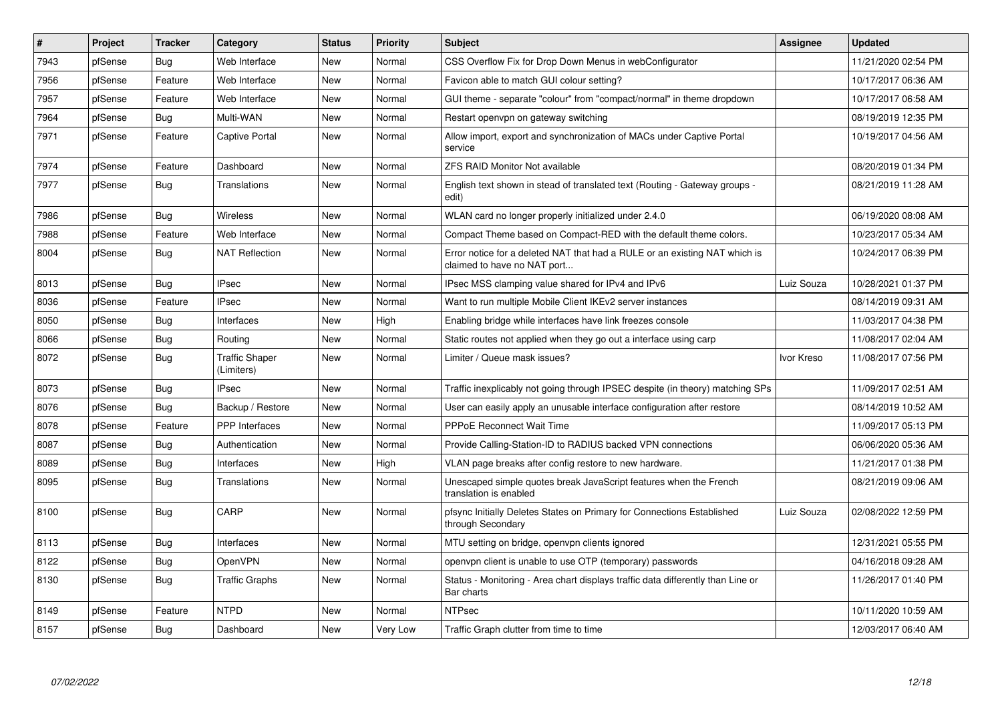| $\pmb{\#}$ | Project | <b>Tracker</b> | Category                            | <b>Status</b> | Priority | <b>Subject</b>                                                                                            | <b>Assignee</b> | <b>Updated</b>      |
|------------|---------|----------------|-------------------------------------|---------------|----------|-----------------------------------------------------------------------------------------------------------|-----------------|---------------------|
| 7943       | pfSense | <b>Bug</b>     | Web Interface                       | <b>New</b>    | Normal   | CSS Overflow Fix for Drop Down Menus in webConfigurator                                                   |                 | 11/21/2020 02:54 PM |
| 7956       | pfSense | Feature        | Web Interface                       | <b>New</b>    | Normal   | Favicon able to match GUI colour setting?                                                                 |                 | 10/17/2017 06:36 AM |
| 7957       | pfSense | Feature        | Web Interface                       | New           | Normal   | GUI theme - separate "colour" from "compact/normal" in theme dropdown                                     |                 | 10/17/2017 06:58 AM |
| 7964       | pfSense | Bug            | Multi-WAN                           | New           | Normal   | Restart openvpn on gateway switching                                                                      |                 | 08/19/2019 12:35 PM |
| 7971       | pfSense | Feature        | Captive Portal                      | New           | Normal   | Allow import, export and synchronization of MACs under Captive Portal<br>service                          |                 | 10/19/2017 04:56 AM |
| 7974       | pfSense | Feature        | Dashboard                           | New           | Normal   | <b>ZFS RAID Monitor Not available</b>                                                                     |                 | 08/20/2019 01:34 PM |
| 7977       | pfSense | Bug            | Translations                        | <b>New</b>    | Normal   | English text shown in stead of translated text (Routing - Gateway groups -<br>edit)                       |                 | 08/21/2019 11:28 AM |
| 7986       | pfSense | Bug            | Wireless                            | New           | Normal   | WLAN card no longer properly initialized under 2.4.0                                                      |                 | 06/19/2020 08:08 AM |
| 7988       | pfSense | Feature        | Web Interface                       | New           | Normal   | Compact Theme based on Compact-RED with the default theme colors.                                         |                 | 10/23/2017 05:34 AM |
| 8004       | pfSense | Bug            | <b>NAT Reflection</b>               | <b>New</b>    | Normal   | Error notice for a deleted NAT that had a RULE or an existing NAT which is<br>claimed to have no NAT port |                 | 10/24/2017 06:39 PM |
| 8013       | pfSense | <b>Bug</b>     | <b>IPsec</b>                        | <b>New</b>    | Normal   | IPsec MSS clamping value shared for IPv4 and IPv6                                                         | Luiz Souza      | 10/28/2021 01:37 PM |
| 8036       | pfSense | Feature        | <b>IPsec</b>                        | New           | Normal   | Want to run multiple Mobile Client IKEv2 server instances                                                 |                 | 08/14/2019 09:31 AM |
| 8050       | pfSense | Bug            | Interfaces                          | New           | High     | Enabling bridge while interfaces have link freezes console                                                |                 | 11/03/2017 04:38 PM |
| 8066       | pfSense | Bug            | Routing                             | New           | Normal   | Static routes not applied when they go out a interface using carp                                         |                 | 11/08/2017 02:04 AM |
| 8072       | pfSense | <b>Bug</b>     | <b>Traffic Shaper</b><br>(Limiters) | <b>New</b>    | Normal   | Limiter / Queue mask issues?                                                                              | Ivor Kreso      | 11/08/2017 07:56 PM |
| 8073       | pfSense | <b>Bug</b>     | <b>IPsec</b>                        | <b>New</b>    | Normal   | Traffic inexplicably not going through IPSEC despite (in theory) matching SPs                             |                 | 11/09/2017 02:51 AM |
| 8076       | pfSense | Bug            | Backup / Restore                    | New           | Normal   | User can easily apply an unusable interface configuration after restore                                   |                 | 08/14/2019 10:52 AM |
| 8078       | pfSense | Feature        | PPP Interfaces                      | New           | Normal   | <b>PPPoE Reconnect Wait Time</b>                                                                          |                 | 11/09/2017 05:13 PM |
| 8087       | pfSense | Bug            | Authentication                      | New           | Normal   | Provide Calling-Station-ID to RADIUS backed VPN connections                                               |                 | 06/06/2020 05:36 AM |
| 8089       | pfSense | <b>Bug</b>     | Interfaces                          | New           | High     | VLAN page breaks after config restore to new hardware.                                                    |                 | 11/21/2017 01:38 PM |
| 8095       | pfSense | <b>Bug</b>     | <b>Translations</b>                 | <b>New</b>    | Normal   | Unescaped simple quotes break JavaScript features when the French<br>translation is enabled               |                 | 08/21/2019 09:06 AM |
| 8100       | pfSense | Bug            | CARP                                | New           | Normal   | pfsync Initially Deletes States on Primary for Connections Established<br>through Secondary               | Luiz Souza      | 02/08/2022 12:59 PM |
| 8113       | pfSense | <b>Bug</b>     | Interfaces                          | <b>New</b>    | Normal   | MTU setting on bridge, openvpn clients ignored                                                            |                 | 12/31/2021 05:55 PM |
| 8122       | pfSense | <b>Bug</b>     | OpenVPN                             | <b>New</b>    | Normal   | openvpn client is unable to use OTP (temporary) passwords                                                 |                 | 04/16/2018 09:28 AM |
| 8130       | pfSense | <b>Bug</b>     | <b>Traffic Graphs</b>               | <b>New</b>    | Normal   | Status - Monitoring - Area chart displays traffic data differently than Line or<br>Bar charts             |                 | 11/26/2017 01:40 PM |
| 8149       | pfSense | Feature        | <b>NTPD</b>                         | <b>New</b>    | Normal   | <b>NTPsec</b>                                                                                             |                 | 10/11/2020 10:59 AM |
| 8157       | pfSense | Bug            | Dashboard                           | <b>New</b>    | Very Low | Traffic Graph clutter from time to time                                                                   |                 | 12/03/2017 06:40 AM |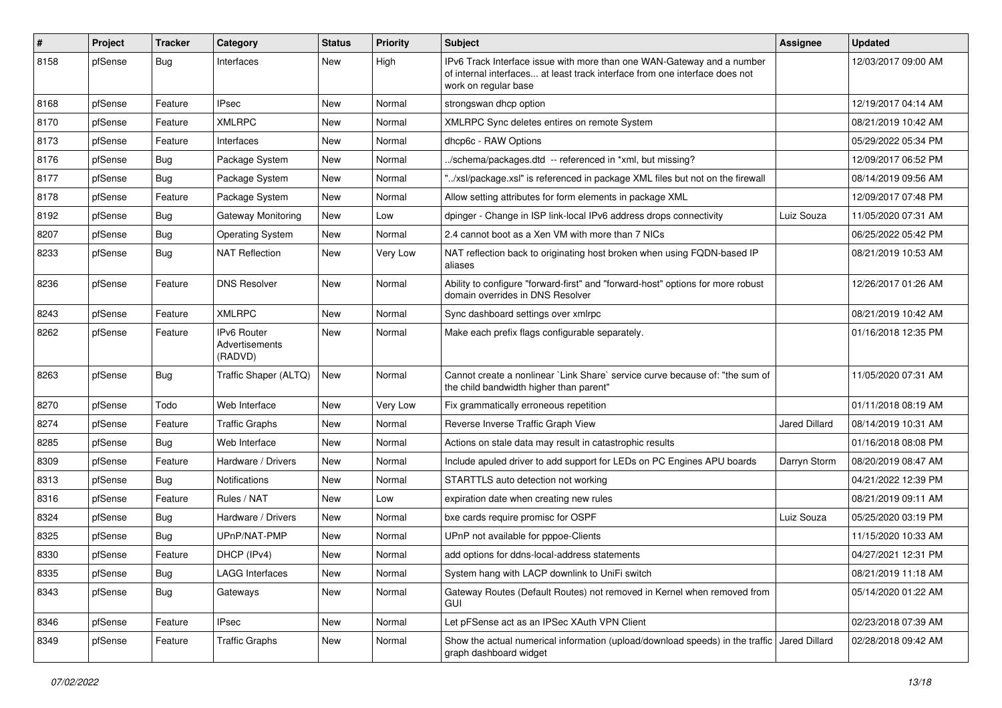| $\sharp$ | Project | <b>Tracker</b> | Category                                        | <b>Status</b> | <b>Priority</b> | <b>Subject</b>                                                                                                                                                                | <b>Assignee</b>      | <b>Updated</b>      |
|----------|---------|----------------|-------------------------------------------------|---------------|-----------------|-------------------------------------------------------------------------------------------------------------------------------------------------------------------------------|----------------------|---------------------|
| 8158     | pfSense | Bug            | Interfaces                                      | New           | High            | IPv6 Track Interface issue with more than one WAN-Gateway and a number<br>of internal interfaces at least track interface from one interface does not<br>work on regular base |                      | 12/03/2017 09:00 AM |
| 8168     | pfSense | Feature        | <b>IPsec</b>                                    | New           | Normal          | strongswan dhcp option                                                                                                                                                        |                      | 12/19/2017 04:14 AM |
| 8170     | pfSense | Feature        | <b>XMLRPC</b>                                   | New           | Normal          | XMLRPC Sync deletes entires on remote System                                                                                                                                  |                      | 08/21/2019 10:42 AM |
| 8173     | pfSense | Feature        | Interfaces                                      | New           | Normal          | dhcp6c - RAW Options                                                                                                                                                          |                      | 05/29/2022 05:34 PM |
| 8176     | pfSense | Bug            | Package System                                  | New           | Normal          | ./schema/packages.dtd -- referenced in *xml, but missing?                                                                                                                     |                      | 12/09/2017 06:52 PM |
| 8177     | pfSense | <b>Bug</b>     | Package System                                  | New           | Normal          | "/xsl/package.xsl" is referenced in package XML files but not on the firewall                                                                                                 |                      | 08/14/2019 09:56 AM |
| 8178     | pfSense | Feature        | Package System                                  | New           | Normal          | Allow setting attributes for form elements in package XML                                                                                                                     |                      | 12/09/2017 07:48 PM |
| 8192     | pfSense | Bug            | Gateway Monitoring                              | <b>New</b>    | Low             | dpinger - Change in ISP link-local IPv6 address drops connectivity                                                                                                            | Luiz Souza           | 11/05/2020 07:31 AM |
| 8207     | pfSense | <b>Bug</b>     | <b>Operating System</b>                         | New           | Normal          | 2.4 cannot boot as a Xen VM with more than 7 NICs                                                                                                                             |                      | 06/25/2022 05:42 PM |
| 8233     | pfSense | Bug            | <b>NAT Reflection</b>                           | New           | Very Low        | NAT reflection back to originating host broken when using FQDN-based IP<br>aliases                                                                                            |                      | 08/21/2019 10:53 AM |
| 8236     | pfSense | Feature        | <b>DNS Resolver</b>                             | New           | Normal          | Ability to configure "forward-first" and "forward-host" options for more robust<br>domain overrides in DNS Resolver                                                           |                      | 12/26/2017 01:26 AM |
| 8243     | pfSense | Feature        | <b>XMLRPC</b>                                   | <b>New</b>    | Normal          | Sync dashboard settings over xmlrpc                                                                                                                                           |                      | 08/21/2019 10:42 AM |
| 8262     | pfSense | Feature        | <b>IPv6 Router</b><br>Advertisements<br>(RADVD) | New           | Normal          | Make each prefix flags configurable separately.                                                                                                                               |                      | 01/16/2018 12:35 PM |
| 8263     | pfSense | <b>Bug</b>     | Traffic Shaper (ALTQ)                           | New           | Normal          | Cannot create a nonlinear `Link Share` service curve because of: "the sum of<br>the child bandwidth higher than parent"                                                       |                      | 11/05/2020 07:31 AM |
| 8270     | pfSense | Todo           | Web Interface                                   | New           | Very Low        | Fix grammatically erroneous repetition                                                                                                                                        |                      | 01/11/2018 08:19 AM |
| 8274     | pfSense | Feature        | <b>Traffic Graphs</b>                           | New           | Normal          | Reverse Inverse Traffic Graph View                                                                                                                                            | <b>Jared Dillard</b> | 08/14/2019 10:31 AM |
| 8285     | pfSense | <b>Bug</b>     | Web Interface                                   | New           | Normal          | Actions on stale data may result in catastrophic results                                                                                                                      |                      | 01/16/2018 08:08 PM |
| 8309     | pfSense | Feature        | Hardware / Drivers                              | New           | Normal          | Include apuled driver to add support for LEDs on PC Engines APU boards                                                                                                        | Darryn Storm         | 08/20/2019 08:47 AM |
| 8313     | pfSense | Bug            | <b>Notifications</b>                            | New           | Normal          | STARTTLS auto detection not working                                                                                                                                           |                      | 04/21/2022 12:39 PM |
| 8316     | pfSense | Feature        | Rules / NAT                                     | New           | Low             | expiration date when creating new rules                                                                                                                                       |                      | 08/21/2019 09:11 AM |
| 8324     | pfSense | Bug            | Hardware / Drivers                              | New           | Normal          | bxe cards require promisc for OSPF                                                                                                                                            | Luiz Souza           | 05/25/2020 03:19 PM |
| 8325     | pfSense | Bug            | UPnP/NAT-PMP                                    | <b>New</b>    | Normal          | UPnP not available for pppoe-Clients                                                                                                                                          |                      | 11/15/2020 10:33 AM |
| 8330     | pfSense | Feature        | DHCP (IPv4)                                     | New           | Normal          | add options for ddns-local-address statements                                                                                                                                 |                      | 04/27/2021 12:31 PM |
| 8335     | pfSense | <b>Bug</b>     | <b>LAGG Interfaces</b>                          | New           | Normal          | System hang with LACP downlink to UniFi switch                                                                                                                                |                      | 08/21/2019 11:18 AM |
| 8343     | pfSense | <b>Bug</b>     | Gateways                                        | New           | Normal          | Gateway Routes (Default Routes) not removed in Kernel when removed from<br><b>GUI</b>                                                                                         |                      | 05/14/2020 01:22 AM |
| 8346     | pfSense | Feature        | <b>IPsec</b>                                    | <b>New</b>    | Normal          | Let pFSense act as an IPSec XAuth VPN Client                                                                                                                                  |                      | 02/23/2018 07:39 AM |
| 8349     | pfSense | Feature        | <b>Traffic Graphs</b>                           | New           | Normal          | Show the actual numerical information (upload/download speeds) in the traffic Jared Dillard<br>graph dashboard widget                                                         |                      | 02/28/2018 09:42 AM |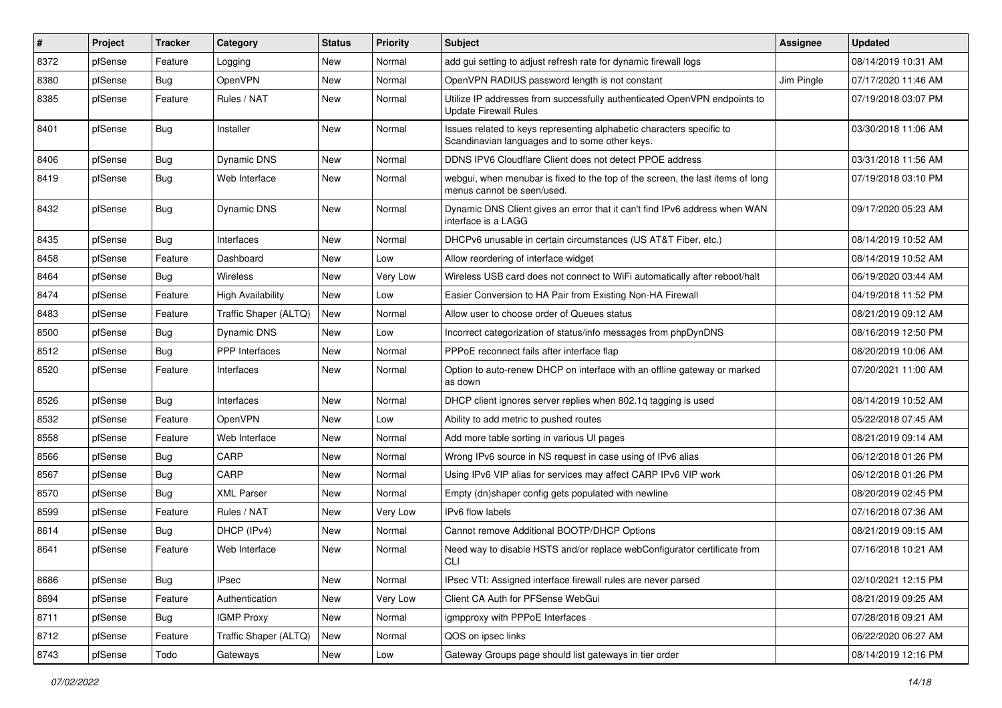| #    | Project | <b>Tracker</b> | Category                 | <b>Status</b> | <b>Priority</b> | <b>Subject</b>                                                                                                          | <b>Assignee</b> | <b>Updated</b>      |
|------|---------|----------------|--------------------------|---------------|-----------------|-------------------------------------------------------------------------------------------------------------------------|-----------------|---------------------|
| 8372 | pfSense | Feature        | Logging                  | New           | Normal          | add gui setting to adjust refresh rate for dynamic firewall logs                                                        |                 | 08/14/2019 10:31 AM |
| 8380 | pfSense | <b>Bug</b>     | OpenVPN                  | <b>New</b>    | Normal          | OpenVPN RADIUS password length is not constant                                                                          | Jim Pingle      | 07/17/2020 11:46 AM |
| 8385 | pfSense | Feature        | Rules / NAT              | New           | Normal          | Utilize IP addresses from successfully authenticated OpenVPN endpoints to<br><b>Update Firewall Rules</b>               |                 | 07/19/2018 03:07 PM |
| 8401 | pfSense | Bug            | Installer                | <b>New</b>    | Normal          | Issues related to keys representing alphabetic characters specific to<br>Scandinavian languages and to some other keys. |                 | 03/30/2018 11:06 AM |
| 8406 | pfSense | Bug            | <b>Dynamic DNS</b>       | New           | Normal          | DDNS IPV6 Cloudflare Client does not detect PPOE address                                                                |                 | 03/31/2018 11:56 AM |
| 8419 | pfSense | Bug            | Web Interface            | New           | Normal          | webgui, when menubar is fixed to the top of the screen, the last items of long<br>menus cannot be seen/used.            |                 | 07/19/2018 03:10 PM |
| 8432 | pfSense | Bug            | <b>Dynamic DNS</b>       | New           | Normal          | Dynamic DNS Client gives an error that it can't find IPv6 address when WAN<br>interface is a LAGG                       |                 | 09/17/2020 05:23 AM |
| 8435 | pfSense | <b>Bug</b>     | Interfaces               | New           | Normal          | DHCPv6 unusable in certain circumstances (US AT&T Fiber, etc.)                                                          |                 | 08/14/2019 10:52 AM |
| 8458 | pfSense | Feature        | Dashboard                | <b>New</b>    | Low             | Allow reordering of interface widget                                                                                    |                 | 08/14/2019 10:52 AM |
| 8464 | pfSense | Bug            | <b>Wireless</b>          | New           | Very Low        | Wireless USB card does not connect to WiFi automatically after reboot/halt                                              |                 | 06/19/2020 03:44 AM |
| 8474 | pfSense | Feature        | <b>High Availability</b> | New           | Low             | Easier Conversion to HA Pair from Existing Non-HA Firewall                                                              |                 | 04/19/2018 11:52 PM |
| 8483 | pfSense | Feature        | Traffic Shaper (ALTQ)    | <b>New</b>    | Normal          | Allow user to choose order of Queues status                                                                             |                 | 08/21/2019 09:12 AM |
| 8500 | pfSense | <b>Bug</b>     | Dynamic DNS              | New           | Low             | Incorrect categorization of status/info messages from phpDynDNS                                                         |                 | 08/16/2019 12:50 PM |
| 8512 | pfSense | Bug            | <b>PPP</b> Interfaces    | <b>New</b>    | Normal          | PPPoE reconnect fails after interface flap                                                                              |                 | 08/20/2019 10:06 AM |
| 8520 | pfSense | Feature        | Interfaces               | New           | Normal          | Option to auto-renew DHCP on interface with an offline gateway or marked<br>as down                                     |                 | 07/20/2021 11:00 AM |
| 8526 | pfSense | Bug            | Interfaces               | <b>New</b>    | Normal          | DHCP client ignores server replies when 802.1q tagging is used                                                          |                 | 08/14/2019 10:52 AM |
| 8532 | pfSense | Feature        | <b>OpenVPN</b>           | New           | Low             | Ability to add metric to pushed routes                                                                                  |                 | 05/22/2018 07:45 AM |
| 8558 | pfSense | Feature        | Web Interface            | New           | Normal          | Add more table sorting in various UI pages                                                                              |                 | 08/21/2019 09:14 AM |
| 8566 | pfSense | <b>Bug</b>     | CARP                     | New           | Normal          | Wrong IPv6 source in NS request in case using of IPv6 alias                                                             |                 | 06/12/2018 01:26 PM |
| 8567 | pfSense | <b>Bug</b>     | CARP                     | New           | Normal          | Using IPv6 VIP alias for services may affect CARP IPv6 VIP work                                                         |                 | 06/12/2018 01:26 PM |
| 8570 | pfSense | Bug            | <b>XML Parser</b>        | New           | Normal          | Empty (dn)shaper config gets populated with newline                                                                     |                 | 08/20/2019 02:45 PM |
| 8599 | pfSense | Feature        | Rules / NAT              | New           | Very Low        | IPv6 flow labels                                                                                                        |                 | 07/16/2018 07:36 AM |
| 8614 | pfSense | Bug            | DHCP (IPv4)              | New           | Normal          | Cannot remove Additional BOOTP/DHCP Options                                                                             |                 | 08/21/2019 09:15 AM |
| 8641 | pfSense | Feature        | Web Interface            | <b>New</b>    | Normal          | Need way to disable HSTS and/or replace webConfigurator certificate from<br><b>CLI</b>                                  |                 | 07/16/2018 10:21 AM |
| 8686 | pfSense | Bug            | <b>IPsec</b>             | New           | Normal          | IPsec VTI: Assigned interface firewall rules are never parsed                                                           |                 | 02/10/2021 12:15 PM |
| 8694 | pfSense | Feature        | Authentication           | New           | Very Low        | Client CA Auth for PFSense WebGui                                                                                       |                 | 08/21/2019 09:25 AM |
| 8711 | pfSense | <b>Bug</b>     | <b>IGMP Proxy</b>        | New           | Normal          | igmpproxy with PPPoE Interfaces                                                                                         |                 | 07/28/2018 09:21 AM |
| 8712 | pfSense | Feature        | Traffic Shaper (ALTQ)    | New           | Normal          | QOS on ipsec links                                                                                                      |                 | 06/22/2020 06:27 AM |
| 8743 | pfSense | Todo           | Gateways                 | New           | Low             | Gateway Groups page should list gateways in tier order                                                                  |                 | 08/14/2019 12:16 PM |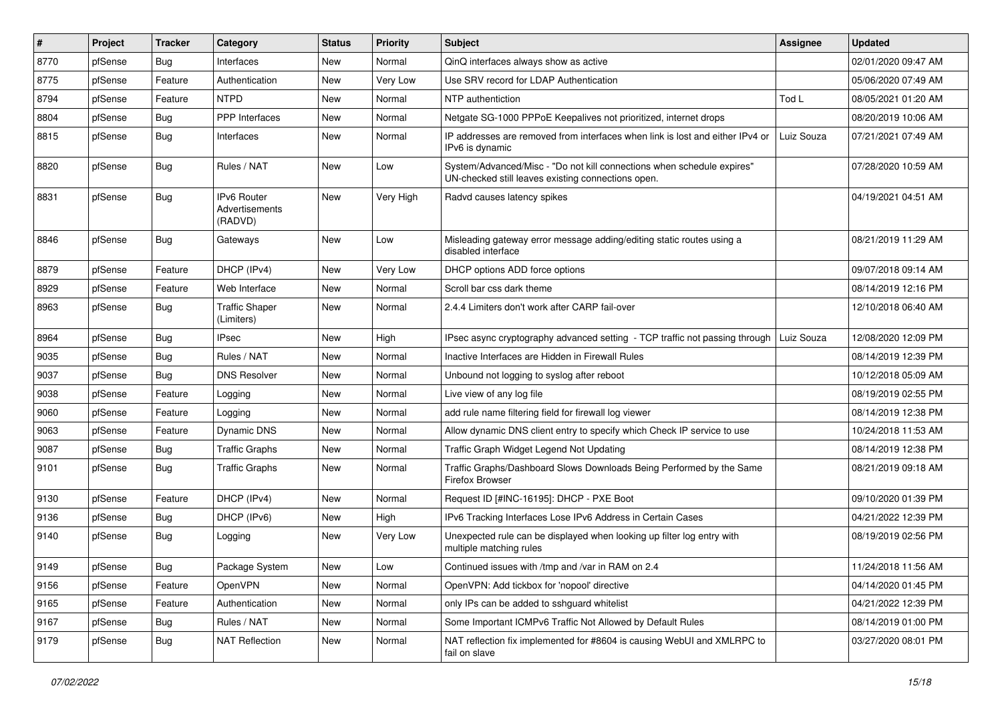| #    | Project | <b>Tracker</b> | Category                                 | <b>Status</b> | <b>Priority</b> | Subject                                                                                                                      | <b>Assignee</b> | <b>Updated</b>      |
|------|---------|----------------|------------------------------------------|---------------|-----------------|------------------------------------------------------------------------------------------------------------------------------|-----------------|---------------------|
| 8770 | pfSense | Bug            | Interfaces                               | New           | Normal          | QinQ interfaces always show as active                                                                                        |                 | 02/01/2020 09:47 AM |
| 8775 | pfSense | Feature        | Authentication                           | New           | Very Low        | Use SRV record for LDAP Authentication                                                                                       |                 | 05/06/2020 07:49 AM |
| 8794 | pfSense | Feature        | <b>NTPD</b>                              | New           | Normal          | NTP authentiction                                                                                                            | Tod L           | 08/05/2021 01:20 AM |
| 8804 | pfSense | <b>Bug</b>     | <b>PPP</b> Interfaces                    | New           | Normal          | Netgate SG-1000 PPPoE Keepalives not prioritized, internet drops                                                             |                 | 08/20/2019 10:06 AM |
| 8815 | pfSense | Bug            | Interfaces                               | New           | Normal          | IP addresses are removed from interfaces when link is lost and either IPv4 or<br>IPv6 is dynamic                             | Luiz Souza      | 07/21/2021 07:49 AM |
| 8820 | pfSense | <b>Bug</b>     | Rules / NAT                              | New           | Low             | System/Advanced/Misc - "Do not kill connections when schedule expires"<br>UN-checked still leaves existing connections open. |                 | 07/28/2020 10:59 AM |
| 8831 | pfSense | <b>Bug</b>     | IPv6 Router<br>Advertisements<br>(RADVD) | New           | Very High       | Radvd causes latency spikes                                                                                                  |                 | 04/19/2021 04:51 AM |
| 8846 | pfSense | Bug            | Gateways                                 | New           | Low             | Misleading gateway error message adding/editing static routes using a<br>disabled interface                                  |                 | 08/21/2019 11:29 AM |
| 8879 | pfSense | Feature        | DHCP (IPv4)                              | New           | Very Low        | DHCP options ADD force options                                                                                               |                 | 09/07/2018 09:14 AM |
| 8929 | pfSense | Feature        | Web Interface                            | New           | Normal          | Scroll bar css dark theme                                                                                                    |                 | 08/14/2019 12:16 PM |
| 8963 | pfSense | Bug            | <b>Traffic Shaper</b><br>(Limiters)      | New           | Normal          | 2.4.4 Limiters don't work after CARP fail-over                                                                               |                 | 12/10/2018 06:40 AM |
| 8964 | pfSense | Bug            | <b>IPsec</b>                             | New           | High            | IPsec async cryptography advanced setting - TCP traffic not passing through   Luiz Souza                                     |                 | 12/08/2020 12:09 PM |
| 9035 | pfSense | <b>Bug</b>     | Rules / NAT                              | New           | Normal          | Inactive Interfaces are Hidden in Firewall Rules                                                                             |                 | 08/14/2019 12:39 PM |
| 9037 | pfSense | Bug            | <b>DNS Resolver</b>                      | New           | Normal          | Unbound not logging to syslog after reboot                                                                                   |                 | 10/12/2018 05:09 AM |
| 9038 | pfSense | Feature        | Logging                                  | New           | Normal          | Live view of any log file                                                                                                    |                 | 08/19/2019 02:55 PM |
| 9060 | pfSense | Feature        | Logging                                  | New           | Normal          | add rule name filtering field for firewall log viewer                                                                        |                 | 08/14/2019 12:38 PM |
| 9063 | pfSense | Feature        | <b>Dynamic DNS</b>                       | New           | Normal          | Allow dynamic DNS client entry to specify which Check IP service to use                                                      |                 | 10/24/2018 11:53 AM |
| 9087 | pfSense | Bug            | <b>Traffic Graphs</b>                    | New           | Normal          | Traffic Graph Widget Legend Not Updating                                                                                     |                 | 08/14/2019 12:38 PM |
| 9101 | pfSense | Bug            | <b>Traffic Graphs</b>                    | New           | Normal          | Traffic Graphs/Dashboard Slows Downloads Being Performed by the Same<br>Firefox Browser                                      |                 | 08/21/2019 09:18 AM |
| 9130 | pfSense | Feature        | DHCP (IPv4)                              | New           | Normal          | Request ID [#INC-16195]: DHCP - PXE Boot                                                                                     |                 | 09/10/2020 01:39 PM |
| 9136 | pfSense | Bug            | DHCP (IPv6)                              | New           | High            | IPv6 Tracking Interfaces Lose IPv6 Address in Certain Cases                                                                  |                 | 04/21/2022 12:39 PM |
| 9140 | pfSense | Bug            | Logging                                  | New           | Very Low        | Unexpected rule can be displayed when looking up filter log entry with<br>multiple matching rules                            |                 | 08/19/2019 02:56 PM |
| 9149 | pfSense | <b>Bug</b>     | Package System                           | New           | Low             | Continued issues with /tmp and /var in RAM on 2.4                                                                            |                 | 11/24/2018 11:56 AM |
| 9156 | pfSense | Feature        | OpenVPN                                  | New           | Normal          | OpenVPN: Add tickbox for 'nopool' directive                                                                                  |                 | 04/14/2020 01:45 PM |
| 9165 | pfSense | Feature        | Authentication                           | New           | Normal          | only IPs can be added to sshguard whitelist                                                                                  |                 | 04/21/2022 12:39 PM |
| 9167 | pfSense | <b>Bug</b>     | Rules / NAT                              | New           | Normal          | Some Important ICMPv6 Traffic Not Allowed by Default Rules                                                                   |                 | 08/14/2019 01:00 PM |
| 9179 | pfSense | Bug            | <b>NAT Reflection</b>                    | New           | Normal          | NAT reflection fix implemented for #8604 is causing WebUI and XMLRPC to<br>fail on slave                                     |                 | 03/27/2020 08:01 PM |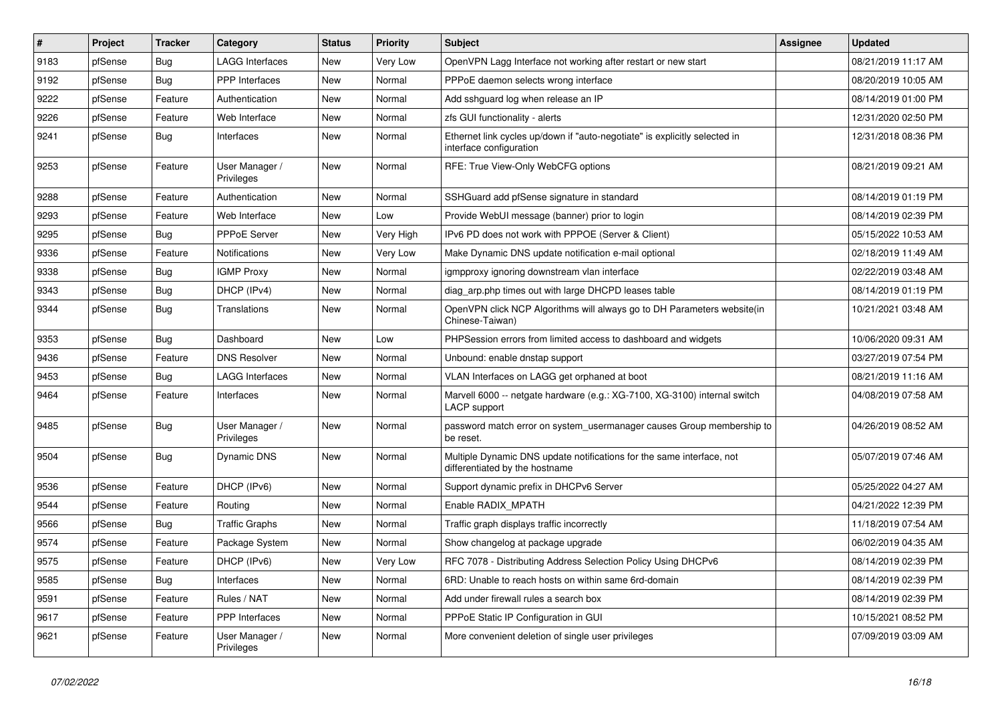| #    | Project | <b>Tracker</b> | Category                     | <b>Status</b> | <b>Priority</b> | Subject                                                                                                 | <b>Assignee</b> | <b>Updated</b>      |
|------|---------|----------------|------------------------------|---------------|-----------------|---------------------------------------------------------------------------------------------------------|-----------------|---------------------|
| 9183 | pfSense | Bug            | <b>LAGG Interfaces</b>       | New           | Very Low        | OpenVPN Lagg Interface not working after restart or new start                                           |                 | 08/21/2019 11:17 AM |
| 9192 | pfSense | <b>Bug</b>     | <b>PPP</b> Interfaces        | <b>New</b>    | Normal          | PPPoE daemon selects wrong interface                                                                    |                 | 08/20/2019 10:05 AM |
| 9222 | pfSense | Feature        | Authentication               | New           | Normal          | Add sshguard log when release an IP                                                                     |                 | 08/14/2019 01:00 PM |
| 9226 | pfSense | Feature        | Web Interface                | New           | Normal          | zfs GUI functionality - alerts                                                                          |                 | 12/31/2020 02:50 PM |
| 9241 | pfSense | Bug            | Interfaces                   | New           | Normal          | Ethernet link cycles up/down if "auto-negotiate" is explicitly selected in<br>interface configuration   |                 | 12/31/2018 08:36 PM |
| 9253 | pfSense | Feature        | User Manager /<br>Privileges | New           | Normal          | RFE: True View-Only WebCFG options                                                                      |                 | 08/21/2019 09:21 AM |
| 9288 | pfSense | Feature        | Authentication               | <b>New</b>    | Normal          | SSHGuard add pfSense signature in standard                                                              |                 | 08/14/2019 01:19 PM |
| 9293 | pfSense | Feature        | Web Interface                | <b>New</b>    | Low             | Provide WebUI message (banner) prior to login                                                           |                 | 08/14/2019 02:39 PM |
| 9295 | pfSense | Bug            | PPPoE Server                 | New           | Very High       | IPv6 PD does not work with PPPOE (Server & Client)                                                      |                 | 05/15/2022 10:53 AM |
| 9336 | pfSense | Feature        | Notifications                | New           | Very Low        | Make Dynamic DNS update notification e-mail optional                                                    |                 | 02/18/2019 11:49 AM |
| 9338 | pfSense | <b>Bug</b>     | <b>IGMP Proxy</b>            | New           | Normal          | igmpproxy ignoring downstream vlan interface                                                            |                 | 02/22/2019 03:48 AM |
| 9343 | pfSense | <b>Bug</b>     | DHCP (IPv4)                  | New           | Normal          | diag_arp.php times out with large DHCPD leases table                                                    |                 | 08/14/2019 01:19 PM |
| 9344 | pfSense | Bug            | Translations                 | New           | Normal          | OpenVPN click NCP Algorithms will always go to DH Parameters website(in<br>Chinese-Taiwan)              |                 | 10/21/2021 03:48 AM |
| 9353 | pfSense | <b>Bug</b>     | Dashboard                    | New           | Low             | PHPSession errors from limited access to dashboard and widgets                                          |                 | 10/06/2020 09:31 AM |
| 9436 | pfSense | Feature        | <b>DNS Resolver</b>          | <b>New</b>    | Normal          | Unbound: enable dnstap support                                                                          |                 | 03/27/2019 07:54 PM |
| 9453 | pfSense | <b>Bug</b>     | LAGG Interfaces              | New           | Normal          | VLAN Interfaces on LAGG get orphaned at boot                                                            |                 | 08/21/2019 11:16 AM |
| 9464 | pfSense | Feature        | Interfaces                   | New           | Normal          | Marvell 6000 -- netgate hardware (e.g.: XG-7100, XG-3100) internal switch<br>LACP support               |                 | 04/08/2019 07:58 AM |
| 9485 | pfSense | <b>Bug</b>     | User Manager /<br>Privileges | New           | Normal          | password match error on system usermanager causes Group membership to<br>be reset.                      |                 | 04/26/2019 08:52 AM |
| 9504 | pfSense | <b>Bug</b>     | Dynamic DNS                  | <b>New</b>    | Normal          | Multiple Dynamic DNS update notifications for the same interface, not<br>differentiated by the hostname |                 | 05/07/2019 07:46 AM |
| 9536 | pfSense | Feature        | DHCP (IPv6)                  | <b>New</b>    | Normal          | Support dynamic prefix in DHCPv6 Server                                                                 |                 | 05/25/2022 04:27 AM |
| 9544 | pfSense | Feature        | Routing                      | New           | Normal          | Enable RADIX_MPATH                                                                                      |                 | 04/21/2022 12:39 PM |
| 9566 | pfSense | <b>Bug</b>     | <b>Traffic Graphs</b>        | New           | Normal          | Traffic graph displays traffic incorrectly                                                              |                 | 11/18/2019 07:54 AM |
| 9574 | pfSense | Feature        | Package System               | <b>New</b>    | Normal          | Show changelog at package upgrade                                                                       |                 | 06/02/2019 04:35 AM |
| 9575 | pfSense | Feature        | DHCP (IPv6)                  | New           | Very Low        | RFC 7078 - Distributing Address Selection Policy Using DHCPv6                                           |                 | 08/14/2019 02:39 PM |
| 9585 | pfSense | Bug            | Interfaces                   | New           | Normal          | 6RD: Unable to reach hosts on within same 6rd-domain                                                    |                 | 08/14/2019 02:39 PM |
| 9591 | pfSense | Feature        | Rules / NAT                  | New           | Normal          | Add under firewall rules a search box                                                                   |                 | 08/14/2019 02:39 PM |
| 9617 | pfSense | Feature        | PPP Interfaces               | New           | Normal          | PPPoE Static IP Configuration in GUI                                                                    |                 | 10/15/2021 08:52 PM |
| 9621 | pfSense | Feature        | User Manager /<br>Privileges | New           | Normal          | More convenient deletion of single user privileges                                                      |                 | 07/09/2019 03:09 AM |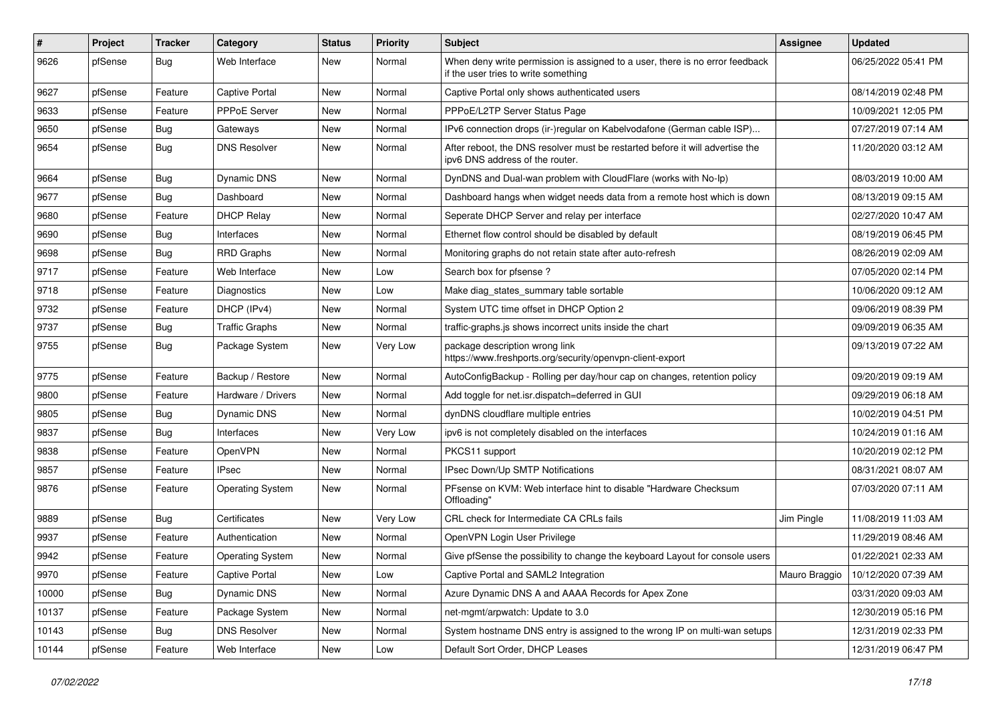| #     | Project | <b>Tracker</b> | Category                | <b>Status</b> | <b>Priority</b> | <b>Subject</b>                                                                                                       | Assignee      | <b>Updated</b>      |
|-------|---------|----------------|-------------------------|---------------|-----------------|----------------------------------------------------------------------------------------------------------------------|---------------|---------------------|
| 9626  | pfSense | <b>Bug</b>     | Web Interface           | New           | Normal          | When deny write permission is assigned to a user, there is no error feedback<br>if the user tries to write something |               | 06/25/2022 05:41 PM |
| 9627  | pfSense | Feature        | Captive Portal          | <b>New</b>    | Normal          | Captive Portal only shows authenticated users                                                                        |               | 08/14/2019 02:48 PM |
| 9633  | pfSense | Feature        | PPPoE Server            | New           | Normal          | PPPoE/L2TP Server Status Page                                                                                        |               | 10/09/2021 12:05 PM |
| 9650  | pfSense | <b>Bug</b>     | Gateways                | New           | Normal          | IPv6 connection drops (ir-)regular on Kabelvodafone (German cable ISP)                                               |               | 07/27/2019 07:14 AM |
| 9654  | pfSense | Bug            | <b>DNS Resolver</b>     | New           | Normal          | After reboot, the DNS resolver must be restarted before it will advertise the<br>ipv6 DNS address of the router.     |               | 11/20/2020 03:12 AM |
| 9664  | pfSense | <b>Bug</b>     | <b>Dynamic DNS</b>      | New           | Normal          | DynDNS and Dual-wan problem with CloudFlare (works with No-Ip)                                                       |               | 08/03/2019 10:00 AM |
| 9677  | pfSense | <b>Bug</b>     | Dashboard               | New           | Normal          | Dashboard hangs when widget needs data from a remote host which is down                                              |               | 08/13/2019 09:15 AM |
| 9680  | pfSense | Feature        | <b>DHCP Relay</b>       | New           | Normal          | Seperate DHCP Server and relay per interface                                                                         |               | 02/27/2020 10:47 AM |
| 9690  | pfSense | <b>Bug</b>     | Interfaces              | New           | Normal          | Ethernet flow control should be disabled by default                                                                  |               | 08/19/2019 06:45 PM |
| 9698  | pfSense | <b>Bug</b>     | <b>RRD Graphs</b>       | New           | Normal          | Monitoring graphs do not retain state after auto-refresh                                                             |               | 08/26/2019 02:09 AM |
| 9717  | pfSense | Feature        | Web Interface           | New           | Low             | Search box for pfsense?                                                                                              |               | 07/05/2020 02:14 PM |
| 9718  | pfSense | Feature        | Diagnostics             | New           | Low             | Make diag_states_summary table sortable                                                                              |               | 10/06/2020 09:12 AM |
| 9732  | pfSense | Feature        | DHCP (IPv4)             | <b>New</b>    | Normal          | System UTC time offset in DHCP Option 2                                                                              |               | 09/06/2019 08:39 PM |
| 9737  | pfSense | Bug            | <b>Traffic Graphs</b>   | New           | Normal          | traffic-graphs is shows incorrect units inside the chart                                                             |               | 09/09/2019 06:35 AM |
| 9755  | pfSense | <b>Bug</b>     | Package System          | New           | Very Low        | package description wrong link<br>https://www.freshports.org/security/openvpn-client-export                          |               | 09/13/2019 07:22 AM |
| 9775  | pfSense | Feature        | Backup / Restore        | New           | Normal          | AutoConfigBackup - Rolling per day/hour cap on changes, retention policy                                             |               | 09/20/2019 09:19 AM |
| 9800  | pfSense | Feature        | Hardware / Drivers      | New           | Normal          | Add toggle for net.isr.dispatch=deferred in GUI                                                                      |               | 09/29/2019 06:18 AM |
| 9805  | pfSense | <b>Bug</b>     | Dynamic DNS             | New           | Normal          | dynDNS cloudflare multiple entries                                                                                   |               | 10/02/2019 04:51 PM |
| 9837  | pfSense | <b>Bug</b>     | Interfaces              | New           | Very Low        | ipv6 is not completely disabled on the interfaces                                                                    |               | 10/24/2019 01:16 AM |
| 9838  | pfSense | Feature        | OpenVPN                 | New           | Normal          | PKCS11 support                                                                                                       |               | 10/20/2019 02:12 PM |
| 9857  | pfSense | Feature        | <b>IPsec</b>            | New           | Normal          | IPsec Down/Up SMTP Notifications                                                                                     |               | 08/31/2021 08:07 AM |
| 9876  | pfSense | Feature        | <b>Operating System</b> | New           | Normal          | PFsense on KVM: Web interface hint to disable "Hardware Checksum"<br>Offloading"                                     |               | 07/03/2020 07:11 AM |
| 9889  | pfSense | Bug            | Certificates            | New           | Very Low        | CRL check for Intermediate CA CRLs fails                                                                             | Jim Pingle    | 11/08/2019 11:03 AM |
| 9937  | pfSense | Feature        | Authentication          | New           | Normal          | OpenVPN Login User Privilege                                                                                         |               | 11/29/2019 08:46 AM |
| 9942  | pfSense | Feature        | <b>Operating System</b> | New           | Normal          | Give pfSense the possibility to change the keyboard Layout for console users                                         |               | 01/22/2021 02:33 AM |
| 9970  | pfSense | Feature        | Captive Portal          | New           | Low             | Captive Portal and SAML2 Integration                                                                                 | Mauro Braggio | 10/12/2020 07:39 AM |
| 10000 | pfSense | <b>Bug</b>     | Dynamic DNS             | New           | Normal          | Azure Dynamic DNS A and AAAA Records for Apex Zone                                                                   |               | 03/31/2020 09:03 AM |
| 10137 | pfSense | Feature        | Package System          | New           | Normal          | net-mamt/arpwatch: Update to 3.0                                                                                     |               | 12/30/2019 05:16 PM |
| 10143 | pfSense | Bug            | <b>DNS Resolver</b>     | New           | Normal          | System hostname DNS entry is assigned to the wrong IP on multi-wan setups                                            |               | 12/31/2019 02:33 PM |
| 10144 | pfSense | Feature        | Web Interface           | New           | Low             | Default Sort Order, DHCP Leases                                                                                      |               | 12/31/2019 06:47 PM |